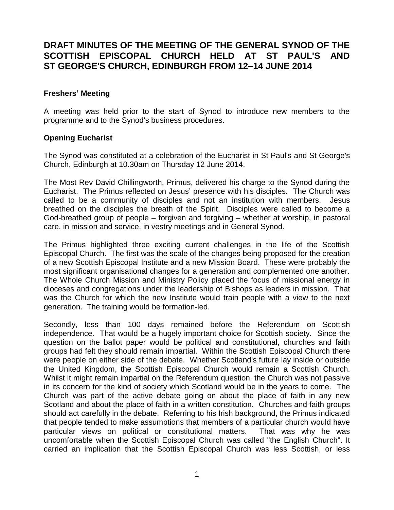# **DRAFT MINUTES OF THE MEETING OF THE GENERAL SYNOD OF THE SCOTTISH EPISCOPAL CHURCH HELD AT ST PAUL'S AND ST GEORGE'S CHURCH, EDINBURGH FROM 12–14 JUNE 2014**

## **Freshers' Meeting**

A meeting was held prior to the start of Synod to introduce new members to the programme and to the Synod's business procedures.

#### **Opening Eucharist**

The Synod was constituted at a celebration of the Eucharist in St Paul's and St George's Church, Edinburgh at 10.30am on Thursday 12 June 2014.

The Most Rev David Chillingworth, Primus, delivered his charge to the Synod during the Eucharist. The Primus reflected on Jesus' presence with his disciples. The Church was called to be a community of disciples and not an institution with members. Jesus breathed on the disciples the breath of the Spirit. Disciples were called to become a God-breathed group of people – forgiven and forgiving – whether at worship, in pastoral care, in mission and service, in vestry meetings and in General Synod.

The Primus highlighted three exciting current challenges in the life of the Scottish Episcopal Church. The first was the scale of the changes being proposed for the creation of a new Scottish Episcopal Institute and a new Mission Board. These were probably the most significant organisational changes for a generation and complemented one another. The Whole Church Mission and Ministry Policy placed the focus of missional energy in dioceses and congregations under the leadership of Bishops as leaders in mission. That was the Church for which the new Institute would train people with a view to the next generation. The training would be formation-led.

Secondly, less than 100 days remained before the Referendum on Scottish independence. That would be a hugely important choice for Scottish society. Since the question on the ballot paper would be political and constitutional, churches and faith groups had felt they should remain impartial. Within the Scottish Episcopal Church there were people on either side of the debate. Whether Scotland's future lay inside or outside the United Kingdom, the Scottish Episcopal Church would remain a Scottish Church. Whilst it might remain impartial on the Referendum question, the Church was not passive in its concern for the kind of society which Scotland would be in the years to come. The Church was part of the active debate going on about the place of faith in any new Scotland and about the place of faith in a written constitution. Churches and faith groups should act carefully in the debate. Referring to his Irish background, the Primus indicated that people tended to make assumptions that members of a particular church would have particular views on political or constitutional matters. That was why he was uncomfortable when the Scottish Episcopal Church was called "the English Church". It carried an implication that the Scottish Episcopal Church was less Scottish, or less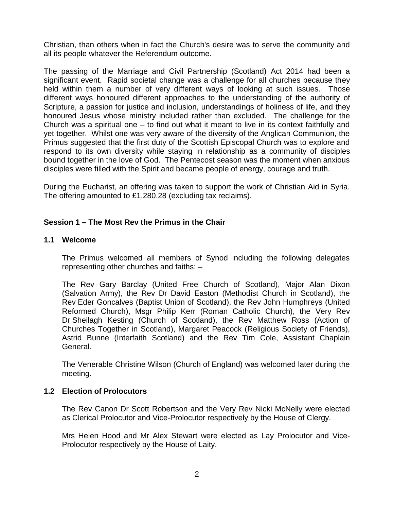Christian, than others when in fact the Church's desire was to serve the community and all its people whatever the Referendum outcome.

The passing of the Marriage and Civil Partnership (Scotland) Act 2014 had been a significant event. Rapid societal change was a challenge for all churches because they held within them a number of very different ways of looking at such issues. Those different ways honoured different approaches to the understanding of the authority of Scripture, a passion for justice and inclusion, understandings of holiness of life, and they honoured Jesus whose ministry included rather than excluded. The challenge for the Church was a spiritual one – to find out what it meant to live in its context faithfully and yet together. Whilst one was very aware of the diversity of the Anglican Communion, the Primus suggested that the first duty of the Scottish Episcopal Church was to explore and respond to its own diversity while staying in relationship as a community of disciples bound together in the love of God. The Pentecost season was the moment when anxious disciples were filled with the Spirit and became people of energy, courage and truth.

During the Eucharist, an offering was taken to support the work of Christian Aid in Syria. The offering amounted to £1,280.28 (excluding tax reclaims).

## **Session 1 – The Most Rev the Primus in the Chair**

#### **1.1 Welcome**

The Primus welcomed all members of Synod including the following delegates representing other churches and faiths: –

The Rev Gary Barclay (United Free Church of Scotland), Major Alan Dixon (Salvation Army), the Rev Dr David Easton (Methodist Church in Scotland), the Rev Eder Goncalves (Baptist Union of Scotland), the Rev John Humphreys (United Reformed Church), Msgr Philip Kerr (Roman Catholic Church), the Very Rev Dr Sheilagh Kesting (Church of Scotland), the Rev Matthew Ross (Action of Churches Together in Scotland), Margaret Peacock (Religious Society of Friends), Astrid Bunne (Interfaith Scotland) and the Rev Tim Cole, Assistant Chaplain General.

The Venerable Christine Wilson (Church of England) was welcomed later during the meeting.

## **1.2 Election of Prolocutors**

The Rev Canon Dr Scott Robertson and the Very Rev Nicki McNelly were elected as Clerical Prolocutor and Vice-Prolocutor respectively by the House of Clergy.

Mrs Helen Hood and Mr Alex Stewart were elected as Lay Prolocutor and Vice-Prolocutor respectively by the House of Laity.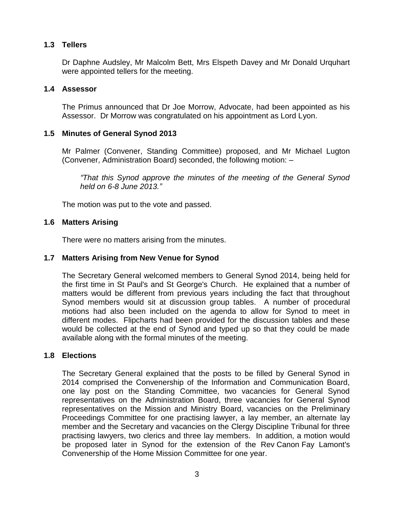## **1.3 Tellers**

Dr Daphne Audsley, Mr Malcolm Bett, Mrs Elspeth Davey and Mr Donald Urquhart were appointed tellers for the meeting.

## **1.4 Assessor**

The Primus announced that Dr Joe Morrow, Advocate, had been appointed as his Assessor. Dr Morrow was congratulated on his appointment as Lord Lyon.

## **1.5 Minutes of General Synod 2013**

Mr Palmer (Convener, Standing Committee) proposed, and Mr Michael Lugton (Convener, Administration Board) seconded, the following motion: –

*"That this Synod approve the minutes of the meeting of the General Synod held on 6-8 June 2013."*

The motion was put to the vote and passed.

## **1.6 Matters Arising**

There were no matters arising from the minutes.

## **1.7 Matters Arising from New Venue for Synod**

The Secretary General welcomed members to General Synod 2014, being held for the first time in St Paul's and St George's Church. He explained that a number of matters would be different from previous years including the fact that throughout Synod members would sit at discussion group tables. A number of procedural motions had also been included on the agenda to allow for Synod to meet in different modes. Flipcharts had been provided for the discussion tables and these would be collected at the end of Synod and typed up so that they could be made available along with the formal minutes of the meeting.

## **1.8 Elections**

The Secretary General explained that the posts to be filled by General Synod in 2014 comprised the Convenership of the Information and Communication Board, one lay post on the Standing Committee, two vacancies for General Synod representatives on the Administration Board, three vacancies for General Synod representatives on the Mission and Ministry Board, vacancies on the Preliminary Proceedings Committee for one practising lawyer, a lay member, an alternate lay member and the Secretary and vacancies on the Clergy Discipline Tribunal for three practising lawyers, two clerics and three lay members. In addition, a motion would be proposed later in Synod for the extension of the Rev Canon Fay Lamont's Convenership of the Home Mission Committee for one year.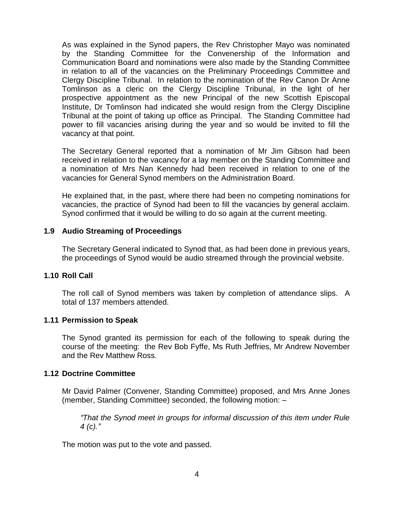As was explained in the Synod papers, the Rev Christopher Mayo was nominated by the Standing Committee for the Convenership of the Information and Communication Board and nominations were also made by the Standing Committee in relation to all of the vacancies on the Preliminary Proceedings Committee and Clergy Discipline Tribunal. In relation to the nomination of the Rev Canon Dr Anne Tomlinson as a cleric on the Clergy Discipline Tribunal, in the light of her prospective appointment as the new Principal of the new Scottish Episcopal Institute, Dr Tomlinson had indicated she would resign from the Clergy Discipline Tribunal at the point of taking up office as Principal. The Standing Committee had power to fill vacancies arising during the year and so would be invited to fill the vacancy at that point.

The Secretary General reported that a nomination of Mr Jim Gibson had been received in relation to the vacancy for a lay member on the Standing Committee and a nomination of Mrs Nan Kennedy had been received in relation to one of the vacancies for General Synod members on the Administration Board.

He explained that, in the past, where there had been no competing nominations for vacancies, the practice of Synod had been to fill the vacancies by general acclaim. Synod confirmed that it would be willing to do so again at the current meeting.

## **1.9 Audio Streaming of Proceedings**

The Secretary General indicated to Synod that, as had been done in previous years, the proceedings of Synod would be audio streamed through the provincial website.

#### **1.10 Roll Call**

The roll call of Synod members was taken by completion of attendance slips. A total of 137 members attended.

#### **1.11 Permission to Speak**

The Synod granted its permission for each of the following to speak during the course of the meeting: the Rev Bob Fyffe, Ms Ruth Jeffries, Mr Andrew November and the Rev Matthew Ross.

#### **1.12 Doctrine Committee**

Mr David Palmer (Convener, Standing Committee) proposed, and Mrs Anne Jones (member, Standing Committee) seconded, the following motion: –

*"That the Synod meet in groups for informal discussion of this item under Rule 4 (c)."*

The motion was put to the vote and passed.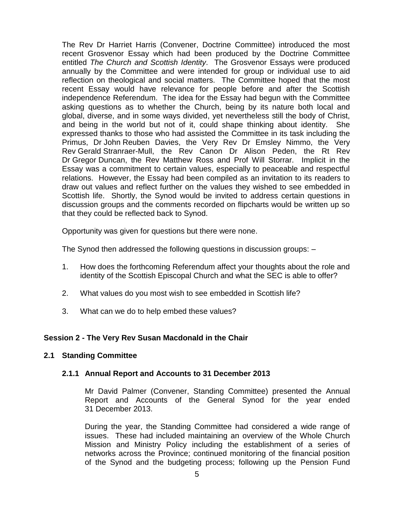The Rev Dr Harriet Harris (Convener, Doctrine Committee) introduced the most recent Grosvenor Essay which had been produced by the Doctrine Committee entitled *The Church and Scottish Identity*. The Grosvenor Essays were produced annually by the Committee and were intended for group or individual use to aid reflection on theological and social matters. The Committee hoped that the most recent Essay would have relevance for people before and after the Scottish independence Referendum. The idea for the Essay had begun with the Committee asking questions as to whether the Church, being by its nature both local and global, diverse, and in some ways divided, yet nevertheless still the body of Christ, and being in the world but not of it, could shape thinking about identity. She expressed thanks to those who had assisted the Committee in its task including the Primus, Dr John Reuben Davies, the Very Rev Dr Emsley Nimmo, the Very Rev Gerald Stranraer-Mull, the Rev Canon Dr Alison Peden, the Rt Rev Dr Gregor Duncan, the Rev Matthew Ross and Prof Will Storrar. Implicit in the Essay was a commitment to certain values, especially to peaceable and respectful relations. However, the Essay had been compiled as an invitation to its readers to draw out values and reflect further on the values they wished to see embedded in Scottish life. Shortly, the Synod would be invited to address certain questions in discussion groups and the comments recorded on flipcharts would be written up so that they could be reflected back to Synod.

Opportunity was given for questions but there were none.

The Synod then addressed the following questions in discussion groups: –

- 1. How does the forthcoming Referendum affect your thoughts about the role and identity of the Scottish Episcopal Church and what the SEC is able to offer?
- 2. What values do you most wish to see embedded in Scottish life?
- 3. What can we do to help embed these values?

## **Session 2 - The Very Rev Susan Macdonald in the Chair**

## **2.1 Standing Committee**

## **2.1.1 Annual Report and Accounts to 31 December 2013**

Mr David Palmer (Convener, Standing Committee) presented the Annual Report and Accounts of the General Synod for the year ended 31 December 2013.

During the year, the Standing Committee had considered a wide range of issues. These had included maintaining an overview of the Whole Church Mission and Ministry Policy including the establishment of a series of networks across the Province; continued monitoring of the financial position of the Synod and the budgeting process; following up the Pension Fund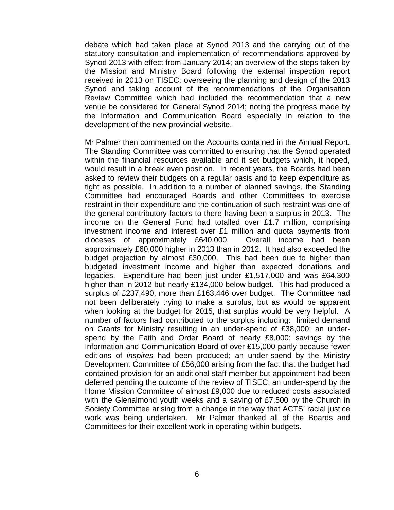debate which had taken place at Synod 2013 and the carrying out of the statutory consultation and implementation of recommendations approved by Synod 2013 with effect from January 2014; an overview of the steps taken by the Mission and Ministry Board following the external inspection report received in 2013 on TISEC; overseeing the planning and design of the 2013 Synod and taking account of the recommendations of the Organisation Review Committee which had included the recommendation that a new venue be considered for General Synod 2014; noting the progress made by the Information and Communication Board especially in relation to the development of the new provincial website.

Mr Palmer then commented on the Accounts contained in the Annual Report. The Standing Committee was committed to ensuring that the Synod operated within the financial resources available and it set budgets which, it hoped, would result in a break even position. In recent years, the Boards had been asked to review their budgets on a regular basis and to keep expenditure as tight as possible. In addition to a number of planned savings, the Standing Committee had encouraged Boards and other Committees to exercise restraint in their expenditure and the continuation of such restraint was one of the general contributory factors to there having been a surplus in 2013. The income on the General Fund had totalled over £1.7 million, comprising investment income and interest over £1 million and quota payments from dioceses of approximately £640,000. Overall income had been approximately £60,000 higher in 2013 than in 2012. It had also exceeded the budget projection by almost £30,000. This had been due to higher than budgeted investment income and higher than expected donations and legacies. Expenditure had been just under £1,517,000 and was £64,300 higher than in 2012 but nearly £134,000 below budget. This had produced a surplus of £237,490, more than £163,446 over budget. The Committee had not been deliberately trying to make a surplus, but as would be apparent when looking at the budget for 2015, that surplus would be very helpful. A number of factors had contributed to the surplus including: limited demand on Grants for Ministry resulting in an under-spend of £38,000; an underspend by the Faith and Order Board of nearly £8,000; savings by the Information and Communication Board of over £15,000 partly because fewer editions of *inspires* had been produced; an under-spend by the Ministry Development Committee of £56,000 arising from the fact that the budget had contained provision for an additional staff member but appointment had been deferred pending the outcome of the review of TISEC; an under-spend by the Home Mission Committee of almost £9,000 due to reduced costs associated with the Glenalmond youth weeks and a saving of £7,500 by the Church in Society Committee arising from a change in the way that ACTS' racial justice work was being undertaken. Mr Palmer thanked all of the Boards and Committees for their excellent work in operating within budgets.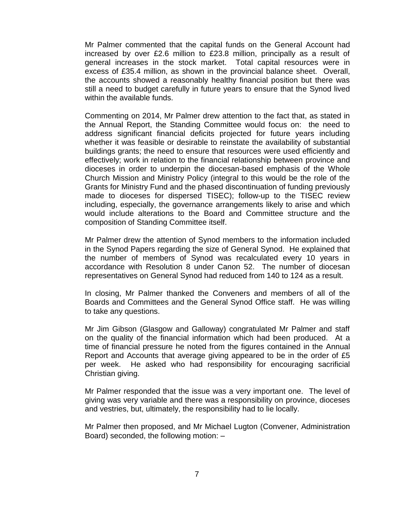Mr Palmer commented that the capital funds on the General Account had increased by over £2.6 million to £23.8 million, principally as a result of general increases in the stock market. Total capital resources were in excess of £35.4 million, as shown in the provincial balance sheet. Overall, the accounts showed a reasonably healthy financial position but there was still a need to budget carefully in future years to ensure that the Synod lived within the available funds.

Commenting on 2014, Mr Palmer drew attention to the fact that, as stated in the Annual Report, the Standing Committee would focus on: the need to address significant financial deficits projected for future years including whether it was feasible or desirable to reinstate the availability of substantial buildings grants; the need to ensure that resources were used efficiently and effectively; work in relation to the financial relationship between province and dioceses in order to underpin the diocesan-based emphasis of the Whole Church Mission and Ministry Policy (integral to this would be the role of the Grants for Ministry Fund and the phased discontinuation of funding previously made to dioceses for dispersed TISEC); follow-up to the TISEC review including, especially, the governance arrangements likely to arise and which would include alterations to the Board and Committee structure and the composition of Standing Committee itself.

Mr Palmer drew the attention of Synod members to the information included in the Synod Papers regarding the size of General Synod. He explained that the number of members of Synod was recalculated every 10 years in accordance with Resolution 8 under Canon 52. The number of diocesan representatives on General Synod had reduced from 140 to 124 as a result.

In closing, Mr Palmer thanked the Conveners and members of all of the Boards and Committees and the General Synod Office staff. He was willing to take any questions.

Mr Jim Gibson (Glasgow and Galloway) congratulated Mr Palmer and staff on the quality of the financial information which had been produced. At a time of financial pressure he noted from the figures contained in the Annual Report and Accounts that average giving appeared to be in the order of £5 per week. He asked who had responsibility for encouraging sacrificial Christian giving.

Mr Palmer responded that the issue was a very important one. The level of giving was very variable and there was a responsibility on province, dioceses and vestries, but, ultimately, the responsibility had to lie locally.

Mr Palmer then proposed, and Mr Michael Lugton (Convener, Administration Board) seconded, the following motion: –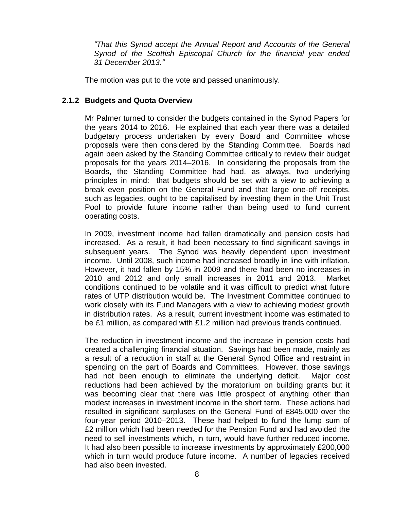*"That this Synod accept the Annual Report and Accounts of the General Synod of the Scottish Episcopal Church for the financial year ended 31 December 2013."*

The motion was put to the vote and passed unanimously.

## **2.1.2 Budgets and Quota Overview**

Mr Palmer turned to consider the budgets contained in the Synod Papers for the years 2014 to 2016. He explained that each year there was a detailed budgetary process undertaken by every Board and Committee whose proposals were then considered by the Standing Committee. Boards had again been asked by the Standing Committee critically to review their budget proposals for the years 2014–2016. In considering the proposals from the Boards, the Standing Committee had had, as always, two underlying principles in mind: that budgets should be set with a view to achieving a break even position on the General Fund and that large one-off receipts, such as legacies, ought to be capitalised by investing them in the Unit Trust Pool to provide future income rather than being used to fund current operating costs.

In 2009, investment income had fallen dramatically and pension costs had increased. As a result, it had been necessary to find significant savings in subsequent years. The Synod was heavily dependent upon investment income. Until 2008, such income had increased broadly in line with inflation. However, it had fallen by 15% in 2009 and there had been no increases in 2010 and 2012 and only small increases in 2011 and 2013. Market conditions continued to be volatile and it was difficult to predict what future rates of UTP distribution would be. The Investment Committee continued to work closely with its Fund Managers with a view to achieving modest growth in distribution rates. As a result, current investment income was estimated to be £1 million, as compared with £1.2 million had previous trends continued.

The reduction in investment income and the increase in pension costs had created a challenging financial situation. Savings had been made, mainly as a result of a reduction in staff at the General Synod Office and restraint in spending on the part of Boards and Committees. However, those savings had not been enough to eliminate the underlying deficit. Major cost reductions had been achieved by the moratorium on building grants but it was becoming clear that there was little prospect of anything other than modest increases in investment income in the short term. These actions had resulted in significant surpluses on the General Fund of £845,000 over the four-year period 2010–2013. These had helped to fund the lump sum of £2 million which had been needed for the Pension Fund and had avoided the need to sell investments which, in turn, would have further reduced income. It had also been possible to increase investments by approximately £200,000 which in turn would produce future income. A number of legacies received had also been invested.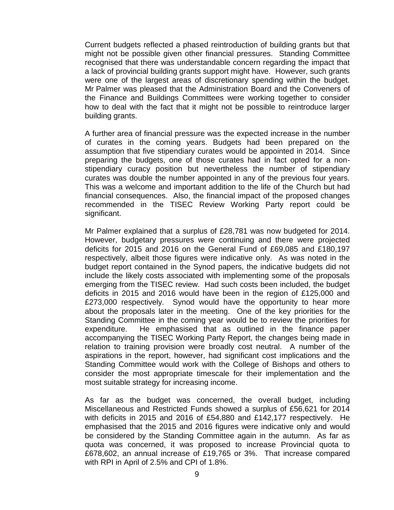Current budgets reflected a phased reintroduction of building grants but that might not be possible given other financial pressures. Standing Committee recognised that there was understandable concern regarding the impact that a lack of provincial building grants support might have. However, such grants were one of the largest areas of discretionary spending within the budget. Mr Palmer was pleased that the Administration Board and the Conveners of the Finance and Buildings Committees were working together to consider how to deal with the fact that it might not be possible to reintroduce larger building grants.

A further area of financial pressure was the expected increase in the number of curates in the coming years. Budgets had been prepared on the assumption that five stipendiary curates would be appointed in 2014. Since preparing the budgets, one of those curates had in fact opted for a nonstipendiary curacy position but nevertheless the number of stipendiary curates was double the number appointed in any of the previous four years. This was a welcome and important addition to the life of the Church but had financial consequences. Also, the financial impact of the proposed changes recommended in the TISEC Review Working Party report could be significant.

Mr Palmer explained that a surplus of £28,781 was now budgeted for 2014. However, budgetary pressures were continuing and there were projected deficits for 2015 and 2016 on the General Fund of £69,085 and £180,197 respectively, albeit those figures were indicative only. As was noted in the budget report contained in the Synod papers, the indicative budgets did not include the likely costs associated with implementing some of the proposals emerging from the TISEC review. Had such costs been included, the budget deficits in 2015 and 2016 would have been in the region of £125,000 and £273,000 respectively. Synod would have the opportunity to hear more about the proposals later in the meeting. One of the key priorities for the Standing Committee in the coming year would be to review the priorities for expenditure. He emphasised that as outlined in the finance paper accompanying the TISEC Working Party Report, the changes being made in relation to training provision were broadly cost neutral. A number of the aspirations in the report, however, had significant cost implications and the Standing Committee would work with the College of Bishops and others to consider the most appropriate timescale for their implementation and the most suitable strategy for increasing income.

As far as the budget was concerned, the overall budget, including Miscellaneous and Restricted Funds showed a surplus of £56,621 for 2014 with deficits in 2015 and 2016 of £54,880 and £142,177 respectively. He emphasised that the 2015 and 2016 figures were indicative only and would be considered by the Standing Committee again in the autumn. As far as quota was concerned, it was proposed to increase Provincial quota to £678,602, an annual increase of £19,765 or 3%. That increase compared with RPI in April of 2.5% and CPI of 1.8%.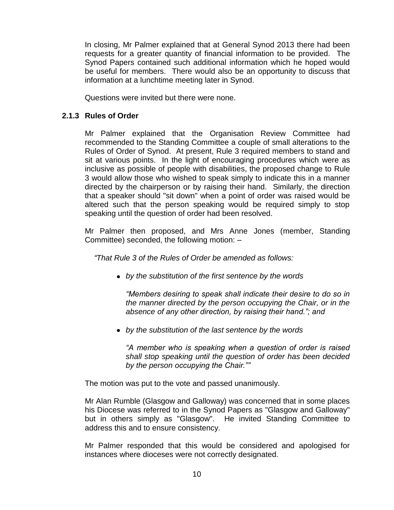In closing, Mr Palmer explained that at General Synod 2013 there had been requests for a greater quantity of financial information to be provided. The Synod Papers contained such additional information which he hoped would be useful for members. There would also be an opportunity to discuss that information at a lunchtime meeting later in Synod.

Questions were invited but there were none.

## **2.1.3 Rules of Order**

Mr Palmer explained that the Organisation Review Committee had recommended to the Standing Committee a couple of small alterations to the Rules of Order of Synod. At present, Rule 3 required members to stand and sit at various points. In the light of encouraging procedures which were as inclusive as possible of people with disabilities, the proposed change to Rule 3 would allow those who wished to speak simply to indicate this in a manner directed by the chairperson or by raising their hand. Similarly, the direction that a speaker should "sit down" when a point of order was raised would be altered such that the person speaking would be required simply to stop speaking until the question of order had been resolved.

Mr Palmer then proposed, and Mrs Anne Jones (member, Standing Committee) seconded, the following motion: –

*"That Rule 3 of the Rules of Order be amended as follows:*

*by the substitution of the first sentence by the words* 

*"Members desiring to speak shall indicate their desire to do so in the manner directed by the person occupying the Chair, or in the absence of any other direction, by raising their hand."; and*

*by the substitution of the last sentence by the words* 

*"A member who is speaking when a question of order is raised shall stop speaking until the question of order has been decided by the person occupying the Chair.""*

The motion was put to the vote and passed unanimously.

Mr Alan Rumble (Glasgow and Galloway) was concerned that in some places his Diocese was referred to in the Synod Papers as "Glasgow and Galloway" but in others simply as "Glasgow". He invited Standing Committee to address this and to ensure consistency.

Mr Palmer responded that this would be considered and apologised for instances where dioceses were not correctly designated.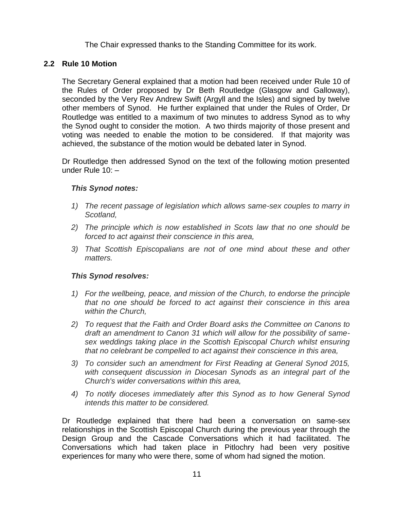The Chair expressed thanks to the Standing Committee for its work.

## **2.2 Rule 10 Motion**

The Secretary General explained that a motion had been received under Rule 10 of the Rules of Order proposed by Dr Beth Routledge (Glasgow and Galloway), seconded by the Very Rev Andrew Swift (Argyll and the Isles) and signed by twelve other members of Synod. He further explained that under the Rules of Order, Dr Routledge was entitled to a maximum of two minutes to address Synod as to why the Synod ought to consider the motion. A two thirds majority of those present and voting was needed to enable the motion to be considered. If that majority was achieved, the substance of the motion would be debated later in Synod.

Dr Routledge then addressed Synod on the text of the following motion presented under Rule 10: –

## *This Synod notes:*

- *1) The recent passage of legislation which allows same-sex couples to marry in Scotland,*
- *2) The principle which is now established in Scots law that no one should be forced to act against their conscience in this area,*
- *3) That Scottish Episcopalians are not of one mind about these and other matters.*

## *This Synod resolves:*

- *1) For the wellbeing, peace, and mission of the Church, to endorse the principle that no one should be forced to act against their conscience in this area within the Church,*
- *2) To request that the Faith and Order Board asks the Committee on Canons to draft an amendment to Canon 31 which will allow for the possibility of samesex weddings taking place in the Scottish Episcopal Church whilst ensuring that no celebrant be compelled to act against their conscience in this area,*
- *3) To consider such an amendment for First Reading at General Synod 2015, with consequent discussion in Diocesan Synods as an integral part of the Church's wider conversations within this area,*
- *4) To notify dioceses immediately after this Synod as to how General Synod intends this matter to be considered.*

Dr Routledge explained that there had been a conversation on same-sex relationships in the Scottish Episcopal Church during the previous year through the Design Group and the Cascade Conversations which it had facilitated. The Conversations which had taken place in Pitlochry had been very positive experiences for many who were there, some of whom had signed the motion.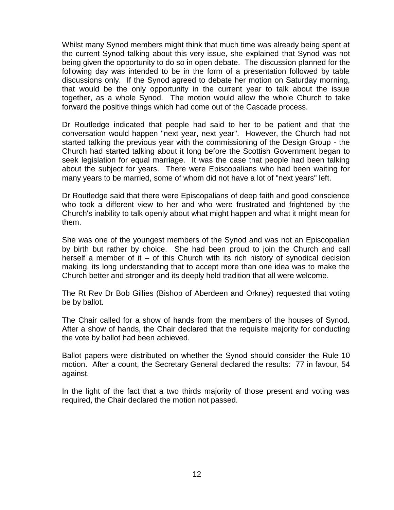Whilst many Synod members might think that much time was already being spent at the current Synod talking about this very issue, she explained that Synod was not being given the opportunity to do so in open debate. The discussion planned for the following day was intended to be in the form of a presentation followed by table discussions only. If the Synod agreed to debate her motion on Saturday morning, that would be the only opportunity in the current year to talk about the issue together, as a whole Synod. The motion would allow the whole Church to take forward the positive things which had come out of the Cascade process.

Dr Routledge indicated that people had said to her to be patient and that the conversation would happen "next year, next year". However, the Church had not started talking the previous year with the commissioning of the Design Group - the Church had started talking about it long before the Scottish Government began to seek legislation for equal marriage. It was the case that people had been talking about the subject for years. There were Episcopalians who had been waiting for many years to be married, some of whom did not have a lot of "next years" left.

Dr Routledge said that there were Episcopalians of deep faith and good conscience who took a different view to her and who were frustrated and frightened by the Church's inability to talk openly about what might happen and what it might mean for them.

She was one of the youngest members of the Synod and was not an Episcopalian by birth but rather by choice. She had been proud to join the Church and call herself a member of it – of this Church with its rich history of synodical decision making, its long understanding that to accept more than one idea was to make the Church better and stronger and its deeply held tradition that all were welcome.

The Rt Rev Dr Bob Gillies (Bishop of Aberdeen and Orkney) requested that voting be by ballot.

The Chair called for a show of hands from the members of the houses of Synod. After a show of hands, the Chair declared that the requisite majority for conducting the vote by ballot had been achieved.

Ballot papers were distributed on whether the Synod should consider the Rule 10 motion. After a count, the Secretary General declared the results: 77 in favour, 54 against.

In the light of the fact that a two thirds majority of those present and voting was required, the Chair declared the motion not passed.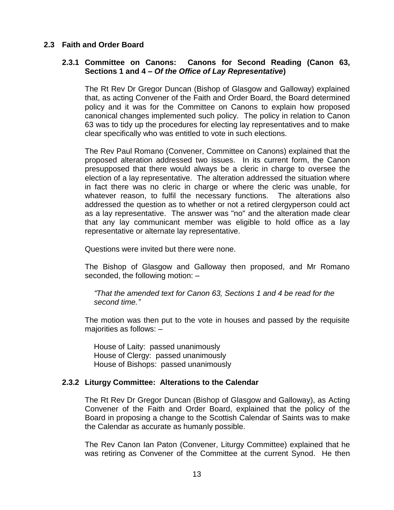#### **2.3 Faith and Order Board**

#### **2.3.1 Committee on Canons: Canons for Second Reading (Canon 63, Sections 1 and 4 –** *Of the Office of Lay Representative***)**

The Rt Rev Dr Gregor Duncan (Bishop of Glasgow and Galloway) explained that, as acting Convener of the Faith and Order Board, the Board determined policy and it was for the Committee on Canons to explain how proposed canonical changes implemented such policy. The policy in relation to Canon 63 was to tidy up the procedures for electing lay representatives and to make clear specifically who was entitled to vote in such elections.

The Rev Paul Romano (Convener, Committee on Canons) explained that the proposed alteration addressed two issues. In its current form, the Canon presupposed that there would always be a cleric in charge to oversee the election of a lay representative. The alteration addressed the situation where in fact there was no cleric in charge or where the cleric was unable, for whatever reason, to fulfil the necessary functions. The alterations also addressed the question as to whether or not a retired clergyperson could act as a lay representative. The answer was "no" and the alteration made clear that any lay communicant member was eligible to hold office as a lay representative or alternate lay representative.

Questions were invited but there were none.

The Bishop of Glasgow and Galloway then proposed, and Mr Romano seconded, the following motion: –

*"That the amended text for Canon 63, Sections 1 and 4 be read for the second time."*

The motion was then put to the vote in houses and passed by the requisite majorities as follows: –

House of Laity: passed unanimously House of Clergy: passed unanimously House of Bishops: passed unanimously

#### **2.3.2 Liturgy Committee: Alterations to the Calendar**

The Rt Rev Dr Gregor Duncan (Bishop of Glasgow and Galloway), as Acting Convener of the Faith and Order Board, explained that the policy of the Board in proposing a change to the Scottish Calendar of Saints was to make the Calendar as accurate as humanly possible.

The Rev Canon Ian Paton (Convener, Liturgy Committee) explained that he was retiring as Convener of the Committee at the current Synod. He then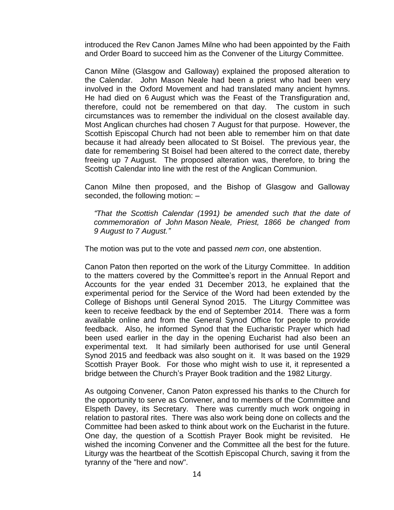introduced the Rev Canon James Milne who had been appointed by the Faith and Order Board to succeed him as the Convener of the Liturgy Committee.

Canon Milne (Glasgow and Galloway) explained the proposed alteration to the Calendar. John Mason Neale had been a priest who had been very involved in the Oxford Movement and had translated many ancient hymns. He had died on 6 August which was the Feast of the Transfiguration and, therefore, could not be remembered on that day. The custom in such circumstances was to remember the individual on the closest available day. Most Anglican churches had chosen 7 August for that purpose. However, the Scottish Episcopal Church had not been able to remember him on that date because it had already been allocated to St Boisel. The previous year, the date for remembering St Boisel had been altered to the correct date, thereby freeing up 7 August. The proposed alteration was, therefore, to bring the Scottish Calendar into line with the rest of the Anglican Communion.

Canon Milne then proposed, and the Bishop of Glasgow and Galloway seconded, the following motion: –

*"That the Scottish Calendar (1991) be amended such that the date of commemoration of John Mason Neale, Priest, 1866 be changed from 9 August to 7 August."*

The motion was put to the vote and passed *nem con*, one abstention.

Canon Paton then reported on the work of the Liturgy Committee. In addition to the matters covered by the Committee's report in the Annual Report and Accounts for the year ended 31 December 2013, he explained that the experimental period for the Service of the Word had been extended by the College of Bishops until General Synod 2015. The Liturgy Committee was keen to receive feedback by the end of September 2014. There was a form available online and from the General Synod Office for people to provide feedback. Also, he informed Synod that the Eucharistic Prayer which had been used earlier in the day in the opening Eucharist had also been an experimental text. It had similarly been authorised for use until General Synod 2015 and feedback was also sought on it. It was based on the 1929 Scottish Prayer Book. For those who might wish to use it, it represented a bridge between the Church's Prayer Book tradition and the 1982 Liturgy.

As outgoing Convener, Canon Paton expressed his thanks to the Church for the opportunity to serve as Convener, and to members of the Committee and Elspeth Davey, its Secretary. There was currently much work ongoing in relation to pastoral rites. There was also work being done on collects and the Committee had been asked to think about work on the Eucharist in the future. One day, the question of a Scottish Prayer Book might be revisited. He wished the incoming Convener and the Committee all the best for the future. Liturgy was the heartbeat of the Scottish Episcopal Church, saving it from the tyranny of the "here and now".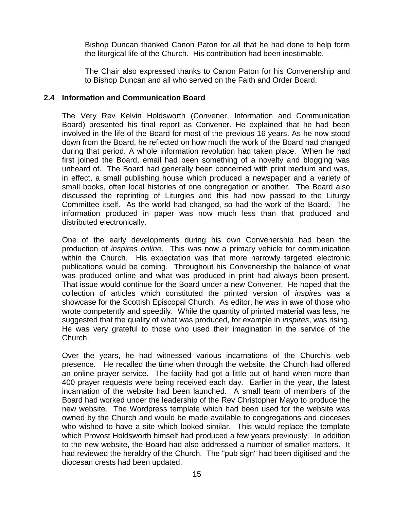Bishop Duncan thanked Canon Paton for all that he had done to help form the liturgical life of the Church. His contribution had been inestimable.

The Chair also expressed thanks to Canon Paton for his Convenership and to Bishop Duncan and all who served on the Faith and Order Board.

#### **2.4 Information and Communication Board**

The Very Rev Kelvin Holdsworth (Convener, Information and Communication Board) presented his final report as Convener. He explained that he had been involved in the life of the Board for most of the previous 16 years. As he now stood down from the Board, he reflected on how much the work of the Board had changed during that period. A whole information revolution had taken place. When he had first joined the Board, email had been something of a novelty and blogging was unheard of. The Board had generally been concerned with print medium and was, in effect, a small publishing house which produced a newspaper and a variety of small books, often local histories of one congregation or another. The Board also discussed the reprinting of Liturgies and this had now passed to the Liturgy Committee itself. As the world had changed, so had the work of the Board. The information produced in paper was now much less than that produced and distributed electronically.

One of the early developments during his own Convenership had been the production of *inspires online*. This was now a primary vehicle for communication within the Church. His expectation was that more narrowly targeted electronic publications would be coming. Throughout his Convenership the balance of what was produced online and what was produced in print had always been present. That issue would continue for the Board under a new Convener. He hoped that the collection of articles which constituted the printed version of *inspires* was a showcase for the Scottish Episcopal Church. As editor, he was in awe of those who wrote competently and speedily. While the quantity of printed material was less, he suggested that the quality of what was produced, for example in *inspires*, was rising. He was very grateful to those who used their imagination in the service of the Church.

Over the years, he had witnessed various incarnations of the Church's web presence. He recalled the time when through the website, the Church had offered an online prayer service. The facility had got a little out of hand when more than 400 prayer requests were being received each day. Earlier in the year, the latest incarnation of the website had been launched. A small team of members of the Board had worked under the leadership of the Rev Christopher Mayo to produce the new website. The Wordpress template which had been used for the website was owned by the Church and would be made available to congregations and dioceses who wished to have a site which looked similar. This would replace the template which Provost Holdsworth himself had produced a few years previously. In addition to the new website, the Board had also addressed a number of smaller matters. It had reviewed the heraldry of the Church. The "pub sign" had been digitised and the diocesan crests had been updated.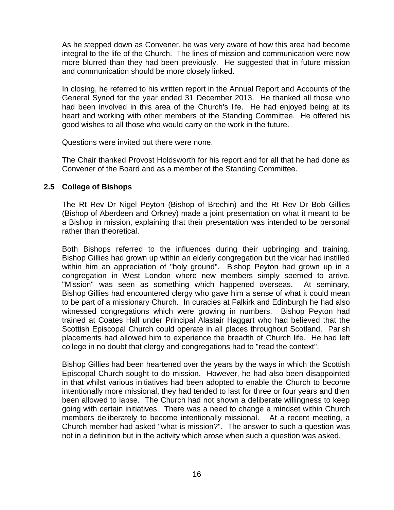As he stepped down as Convener, he was very aware of how this area had become integral to the life of the Church. The lines of mission and communication were now more blurred than they had been previously. He suggested that in future mission and communication should be more closely linked.

In closing, he referred to his written report in the Annual Report and Accounts of the General Synod for the year ended 31 December 2013. He thanked all those who had been involved in this area of the Church's life. He had enjoyed being at its heart and working with other members of the Standing Committee. He offered his good wishes to all those who would carry on the work in the future.

Questions were invited but there were none.

The Chair thanked Provost Holdsworth for his report and for all that he had done as Convener of the Board and as a member of the Standing Committee.

#### **2.5 College of Bishops**

The Rt Rev Dr Nigel Peyton (Bishop of Brechin) and the Rt Rev Dr Bob Gillies (Bishop of Aberdeen and Orkney) made a joint presentation on what it meant to be a Bishop in mission, explaining that their presentation was intended to be personal rather than theoretical.

Both Bishops referred to the influences during their upbringing and training. Bishop Gillies had grown up within an elderly congregation but the vicar had instilled within him an appreciation of "holy ground". Bishop Peyton had grown up in a congregation in West London where new members simply seemed to arrive. "Mission" was seen as something which happened overseas. At seminary, Bishop Gillies had encountered clergy who gave him a sense of what it could mean to be part of a missionary Church. In curacies at Falkirk and Edinburgh he had also witnessed congregations which were growing in numbers. Bishop Peyton had trained at Coates Hall under Principal Alastair Haggart who had believed that the Scottish Episcopal Church could operate in all places throughout Scotland. Parish placements had allowed him to experience the breadth of Church life. He had left college in no doubt that clergy and congregations had to "read the context".

Bishop Gillies had been heartened over the years by the ways in which the Scottish Episcopal Church sought to do mission. However, he had also been disappointed in that whilst various initiatives had been adopted to enable the Church to become intentionally more missional, they had tended to last for three or four years and then been allowed to lapse. The Church had not shown a deliberate willingness to keep going with certain initiatives. There was a need to change a mindset within Church members deliberately to become intentionally missional. At a recent meeting, a Church member had asked "what is mission?". The answer to such a question was not in a definition but in the activity which arose when such a question was asked.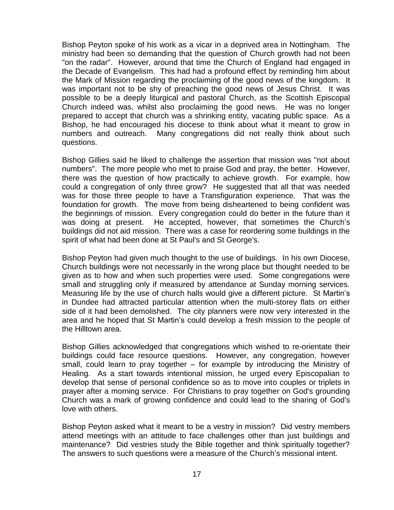Bishop Peyton spoke of his work as a vicar in a deprived area in Nottingham. The ministry had been so demanding that the question of Church growth had not been "on the radar". However, around that time the Church of England had engaged in the Decade of Evangelism. This had had a profound effect by reminding him about the Mark of Mission regarding the proclaiming of the good news of the kingdom. It was important not to be shy of preaching the good news of Jesus Christ. It was possible to be a deeply liturgical and pastoral Church, as the Scottish Episcopal Church indeed was, whilst also proclaiming the good news. He was no longer prepared to accept that church was a shrinking entity, vacating public space. As a Bishop, he had encouraged his diocese to think about what it meant to grow in numbers and outreach. Many congregations did not really think about such questions.

Bishop Gillies said he liked to challenge the assertion that mission was "not about numbers". The more people who met to praise God and pray, the better. However, there was the question of how practically to achieve growth. For example, how could a congregation of only three grow? He suggested that all that was needed was for those three people to have a Transfiguration experience. That was the foundation for growth. The move from being disheartened to being confident was the beginnings of mission. Every congregation could do better in the future than it was doing at present. He accepted, however, that sometimes the Church's buildings did not aid mission. There was a case for reordering some buildings in the spirit of what had been done at St Paul's and St George's.

Bishop Peyton had given much thought to the use of buildings. In his own Diocese, Church buildings were not necessarily in the wrong place but thought needed to be given as to how and when such properties were used. Some congregations were small and struggling only if measured by attendance at Sunday morning services. Measuring life by the use of church halls would give a different picture. St Martin's in Dundee had attracted particular attention when the multi-storey flats on either side of it had been demolished. The city planners were now very interested in the area and he hoped that St Martin's could develop a fresh mission to the people of the Hilltown area.

Bishop Gillies acknowledged that congregations which wished to re-orientate their buildings could face resource questions. However, any congregation, however small, could learn to pray together – for example by introducing the Ministry of Healing. As a start towards intentional mission, he urged every Episcopalian to develop that sense of personal confidence so as to move into couples or triplets in prayer after a morning service. For Christians to pray together on God's grounding Church was a mark of growing confidence and could lead to the sharing of God's love with others.

Bishop Peyton asked what it meant to be a vestry in mission? Did vestry members attend meetings with an attitude to face challenges other than just buildings and maintenance? Did vestries study the Bible together and think spiritually together? The answers to such questions were a measure of the Church's missional intent.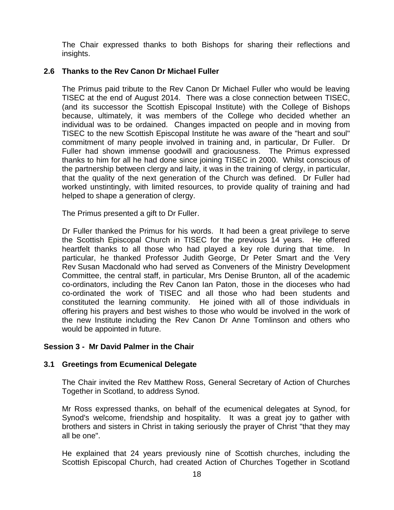The Chair expressed thanks to both Bishops for sharing their reflections and insights.

## **2.6 Thanks to the Rev Canon Dr Michael Fuller**

The Primus paid tribute to the Rev Canon Dr Michael Fuller who would be leaving TISEC at the end of August 2014. There was a close connection between TISEC, (and its successor the Scottish Episcopal Institute) with the College of Bishops because, ultimately, it was members of the College who decided whether an individual was to be ordained. Changes impacted on people and in moving from TISEC to the new Scottish Episcopal Institute he was aware of the "heart and soul" commitment of many people involved in training and, in particular, Dr Fuller. Dr Fuller had shown immense goodwill and graciousness. The Primus expressed thanks to him for all he had done since joining TISEC in 2000. Whilst conscious of the partnership between clergy and laity, it was in the training of clergy, in particular, that the quality of the next generation of the Church was defined. Dr Fuller had worked unstintingly, with limited resources, to provide quality of training and had helped to shape a generation of clergy.

The Primus presented a gift to Dr Fuller.

Dr Fuller thanked the Primus for his words. It had been a great privilege to serve the Scottish Episcopal Church in TISEC for the previous 14 years. He offered heartfelt thanks to all those who had played a key role during that time. In particular, he thanked Professor Judith George, Dr Peter Smart and the Very Rev Susan Macdonald who had served as Conveners of the Ministry Development Committee, the central staff, in particular, Mrs Denise Brunton, all of the academic co-ordinators, including the Rev Canon Ian Paton, those in the dioceses who had co-ordinated the work of TISEC and all those who had been students and constituted the learning community. He joined with all of those individuals in offering his prayers and best wishes to those who would be involved in the work of the new Institute including the Rev Canon Dr Anne Tomlinson and others who would be appointed in future.

## **Session 3 - Mr David Palmer in the Chair**

#### **3.1 Greetings from Ecumenical Delegate**

The Chair invited the Rev Matthew Ross, General Secretary of Action of Churches Together in Scotland, to address Synod.

Mr Ross expressed thanks, on behalf of the ecumenical delegates at Synod, for Synod's welcome, friendship and hospitality. It was a great joy to gather with brothers and sisters in Christ in taking seriously the prayer of Christ "that they may all be one".

He explained that 24 years previously nine of Scottish churches, including the Scottish Episcopal Church, had created Action of Churches Together in Scotland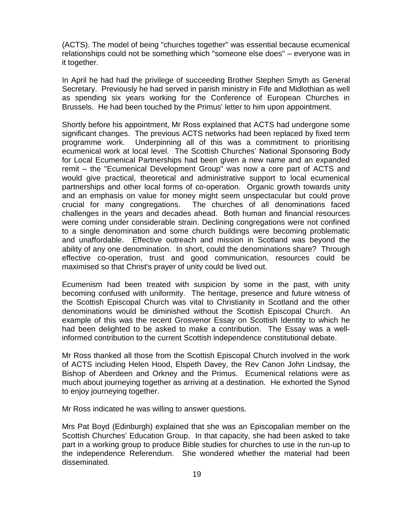(ACTS). The model of being "churches together" was essential because ecumenical relationships could not be something which "someone else does" – everyone was in it together.

In April he had had the privilege of succeeding Brother Stephen Smyth as General Secretary. Previously he had served in parish ministry in Fife and Midlothian as well as spending six years working for the Conference of European Churches in Brussels. He had been touched by the Primus' letter to him upon appointment.

Shortly before his appointment, Mr Ross explained that ACTS had undergone some significant changes. The previous ACTS networks had been replaced by fixed term programme work. Underpinning all of this was a commitment to prioritising ecumenical work at local level. The Scottish Churches' National Sponsoring Body for Local Ecumenical Partnerships had been given a new name and an expanded remit – the "Ecumenical Development Group" was now a core part of ACTS and would give practical, theoretical and administrative support to local ecumenical partnerships and other local forms of co-operation. Organic growth towards unity and an emphasis on value for money might seem unspectacular but could prove crucial for many congregations. The churches of all denominations faced challenges in the years and decades ahead. Both human and financial resources were coming under considerable strain. Declining congregations were not confined to a single denomination and some church buildings were becoming problematic and unaffordable. Effective outreach and mission in Scotland was beyond the ability of any one denomination. In short, could the denominations share? Through effective co-operation, trust and good communication, resources could be maximised so that Christ's prayer of unity could be lived out.

Ecumenism had been treated with suspicion by some in the past, with unity becoming confused with uniformity. The heritage, presence and future witness of the Scottish Episcopal Church was vital to Christianity in Scotland and the other denominations would be diminished without the Scottish Episcopal Church. An example of this was the recent Grosvenor Essay on Scottish Identity to which he had been delighted to be asked to make a contribution. The Essay was a wellinformed contribution to the current Scottish independence constitutional debate.

Mr Ross thanked all those from the Scottish Episcopal Church involved in the work of ACTS including Helen Hood, Elspeth Davey, the Rev Canon John Lindsay, the Bishop of Aberdeen and Orkney and the Primus. Ecumenical relations were as much about journeying together as arriving at a destination. He exhorted the Synod to enjoy journeying together.

Mr Ross indicated he was willing to answer questions.

Mrs Pat Boyd (Edinburgh) explained that she was an Episcopalian member on the Scottish Churches' Education Group. In that capacity, she had been asked to take part in a working group to produce Bible studies for churches to use in the run-up to the independence Referendum. She wondered whether the material had been disseminated.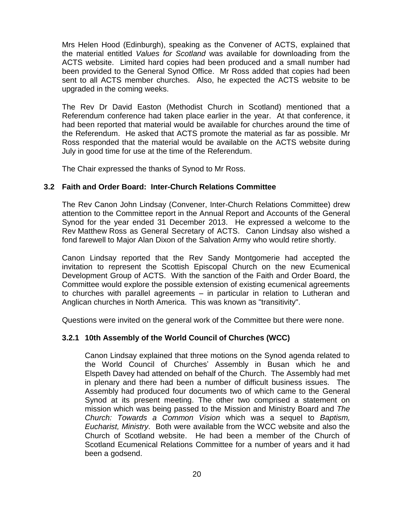Mrs Helen Hood (Edinburgh), speaking as the Convener of ACTS, explained that the material entitled *Values for Scotland* was available for downloading from the ACTS website. Limited hard copies had been produced and a small number had been provided to the General Synod Office. Mr Ross added that copies had been sent to all ACTS member churches. Also, he expected the ACTS website to be upgraded in the coming weeks.

The Rev Dr David Easton (Methodist Church in Scotland) mentioned that a Referendum conference had taken place earlier in the year. At that conference, it had been reported that material would be available for churches around the time of the Referendum. He asked that ACTS promote the material as far as possible. Mr Ross responded that the material would be available on the ACTS website during July in good time for use at the time of the Referendum.

The Chair expressed the thanks of Synod to Mr Ross.

## **3.2 Faith and Order Board: Inter-Church Relations Committee**

The Rev Canon John Lindsay (Convener, Inter-Church Relations Committee) drew attention to the Committee report in the Annual Report and Accounts of the General Synod for the year ended 31 December 2013. He expressed a welcome to the Rev Matthew Ross as General Secretary of ACTS. Canon Lindsay also wished a fond farewell to Major Alan Dixon of the Salvation Army who would retire shortly.

Canon Lindsay reported that the Rev Sandy Montgomerie had accepted the invitation to represent the Scottish Episcopal Church on the new Ecumenical Development Group of ACTS. With the sanction of the Faith and Order Board, the Committee would explore the possible extension of existing ecumenical agreements to churches with parallel agreements – in particular in relation to Lutheran and Anglican churches in North America. This was known as "transitivity".

Questions were invited on the general work of the Committee but there were none.

## **3.2.1 10th Assembly of the World Council of Churches (WCC)**

Canon Lindsay explained that three motions on the Synod agenda related to the World Council of Churches' Assembly in Busan which he and Elspeth Davey had attended on behalf of the Church. The Assembly had met in plenary and there had been a number of difficult business issues. The Assembly had produced four documents two of which came to the General Synod at its present meeting. The other two comprised a statement on mission which was being passed to the Mission and Ministry Board and *The Church: Towards a Common Vision* which was a sequel to *Baptism, Eucharist, Ministry*. Both were available from the WCC website and also the Church of Scotland website. He had been a member of the Church of Scotland Ecumenical Relations Committee for a number of years and it had been a godsend.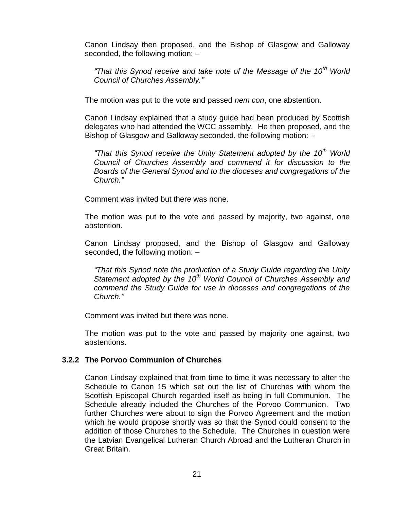Canon Lindsay then proposed, and the Bishop of Glasgow and Galloway seconded, the following motion: –

*"That this Synod receive and take note of the Message of the 10th World Council of Churches Assembly."*

The motion was put to the vote and passed *nem con*, one abstention.

Canon Lindsay explained that a study guide had been produced by Scottish delegates who had attended the WCC assembly. He then proposed, and the Bishop of Glasgow and Galloway seconded, the following motion: –

*"That this Synod receive the Unity Statement adopted by the 10th World Council of Churches Assembly and commend it for discussion to the Boards of the General Synod and to the dioceses and congregations of the Church."*

Comment was invited but there was none.

The motion was put to the vote and passed by majority, two against, one abstention.

Canon Lindsay proposed, and the Bishop of Glasgow and Galloway seconded, the following motion: –

*"That this Synod note the production of a Study Guide regarding the Unity Statement adopted by the 10th World Council of Churches Assembly and commend the Study Guide for use in dioceses and congregations of the Church."*

Comment was invited but there was none.

The motion was put to the vote and passed by majority one against, two abstentions.

## **3.2.2 The Porvoo Communion of Churches**

Canon Lindsay explained that from time to time it was necessary to alter the Schedule to Canon 15 which set out the list of Churches with whom the Scottish Episcopal Church regarded itself as being in full Communion. The Schedule already included the Churches of the Porvoo Communion. Two further Churches were about to sign the Porvoo Agreement and the motion which he would propose shortly was so that the Synod could consent to the addition of those Churches to the Schedule. The Churches in question were the Latvian Evangelical Lutheran Church Abroad and the Lutheran Church in Great Britain.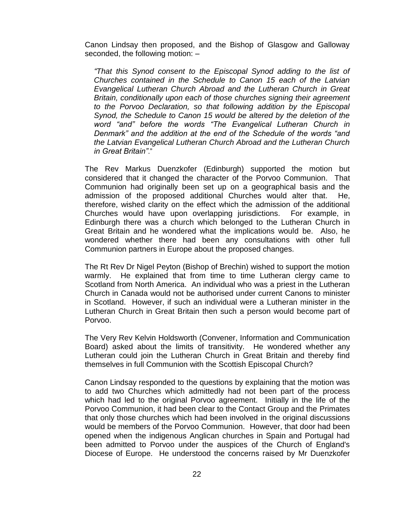Canon Lindsay then proposed, and the Bishop of Glasgow and Galloway seconded, the following motion: –

*"That this Synod consent to the Episcopal Synod adding to the list of Churches contained in the Schedule to Canon 15 each of the Latvian Evangelical Lutheran Church Abroad and the Lutheran Church in Great Britain, conditionally upon each of those churches signing their agreement to the Porvoo Declaration, so that following addition by the Episcopal Synod, the Schedule to Canon 15 would be altered by the deletion of the word "and" before the words "The Evangelical Lutheran Church in Denmark" and the addition at the end of the Schedule of the words "and the Latvian Evangelical Lutheran Church Abroad and the Lutheran Church in Great Britain"*."

The Rev Markus Duenzkofer (Edinburgh) supported the motion but considered that it changed the character of the Porvoo Communion. That Communion had originally been set up on a geographical basis and the admission of the proposed additional Churches would alter that. He, therefore, wished clarity on the effect which the admission of the additional Churches would have upon overlapping jurisdictions. For example, in Edinburgh there was a church which belonged to the Lutheran Church in Great Britain and he wondered what the implications would be. Also, he wondered whether there had been any consultations with other full Communion partners in Europe about the proposed changes.

The Rt Rev Dr Nigel Peyton (Bishop of Brechin) wished to support the motion warmly. He explained that from time to time Lutheran clergy came to Scotland from North America. An individual who was a priest in the Lutheran Church in Canada would not be authorised under current Canons to minister in Scotland. However, if such an individual were a Lutheran minister in the Lutheran Church in Great Britain then such a person would become part of Porvoo.

The Very Rev Kelvin Holdsworth (Convener, Information and Communication Board) asked about the limits of transitivity. He wondered whether any Lutheran could join the Lutheran Church in Great Britain and thereby find themselves in full Communion with the Scottish Episcopal Church?

Canon Lindsay responded to the questions by explaining that the motion was to add two Churches which admittedly had not been part of the process which had led to the original Porvoo agreement. Initially in the life of the Porvoo Communion, it had been clear to the Contact Group and the Primates that only those churches which had been involved in the original discussions would be members of the Porvoo Communion. However, that door had been opened when the indigenous Anglican churches in Spain and Portugal had been admitted to Porvoo under the auspices of the Church of England's Diocese of Europe. He understood the concerns raised by Mr Duenzkofer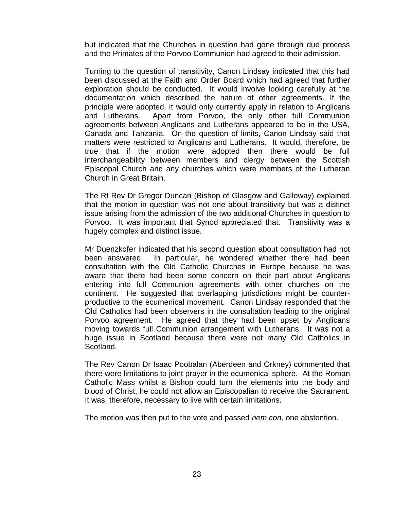but indicated that the Churches in question had gone through due process and the Primates of the Porvoo Communion had agreed to their admission.

Turning to the question of transitivity, Canon Lindsay indicated that this had been discussed at the Faith and Order Board which had agreed that further exploration should be conducted. It would involve looking carefully at the documentation which described the nature of other agreements. If the principle were adopted, it would only currently apply in relation to Anglicans and Lutherans. Apart from Porvoo, the only other full Communion agreements between Anglicans and Lutherans appeared to be in the USA, Canada and Tanzania. On the question of limits, Canon Lindsay said that matters were restricted to Anglicans and Lutherans. It would, therefore, be true that if the motion were adopted then there would be full interchangeability between members and clergy between the Scottish Episcopal Church and any churches which were members of the Lutheran Church in Great Britain.

The Rt Rev Dr Gregor Duncan (Bishop of Glasgow and Galloway) explained that the motion in question was not one about transitivity but was a distinct issue arising from the admission of the two additional Churches in question to Porvoo. It was important that Synod appreciated that. Transitivity was a hugely complex and distinct issue.

Mr Duenzkofer indicated that his second question about consultation had not been answered. In particular, he wondered whether there had been consultation with the Old Catholic Churches in Europe because he was aware that there had been some concern on their part about Anglicans entering into full Communion agreements with other churches on the continent. He suggested that overlapping jurisdictions might be counterproductive to the ecumenical movement. Canon Lindsay responded that the Old Catholics had been observers in the consultation leading to the original Porvoo agreement. He agreed that they had been upset by Anglicans moving towards full Communion arrangement with Lutherans. It was not a huge issue in Scotland because there were not many Old Catholics in Scotland.

The Rev Canon Dr Isaac Poobalan (Aberdeen and Orkney) commented that there were limitations to joint prayer in the ecumenical sphere. At the Roman Catholic Mass whilst a Bishop could turn the elements into the body and blood of Christ, he could not allow an Episcopalian to receive the Sacrament. It was, therefore, necessary to live with certain limitations.

The motion was then put to the vote and passed *nem con*, one abstention.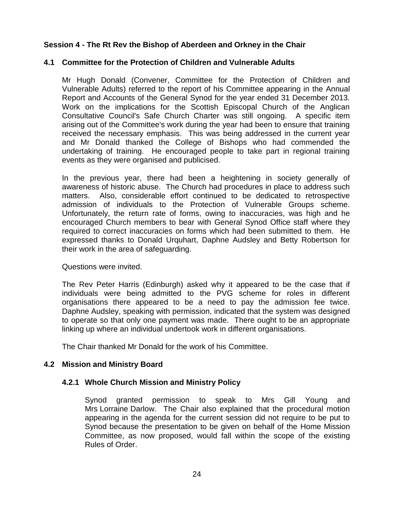## **Session 4 - The Rt Rev the Bishop of Aberdeen and Orkney in the Chair**

#### **4.1 Committee for the Protection of Children and Vulnerable Adults**

Mr Hugh Donald (Convener, Committee for the Protection of Children and Vulnerable Adults) referred to the report of his Committee appearing in the Annual Report and Accounts of the General Synod for the year ended 31 December 2013. Work on the implications for the Scottish Episcopal Church of the Anglican Consultative Council's Safe Church Charter was still ongoing. A specific item arising out of the Committee's work during the year had been to ensure that training received the necessary emphasis. This was being addressed in the current year and Mr Donald thanked the College of Bishops who had commended the undertaking of training. He encouraged people to take part in regional training events as they were organised and publicised.

In the previous year, there had been a heightening in society generally of awareness of historic abuse. The Church had procedures in place to address such matters. Also, considerable effort continued to be dedicated to retrospective admission of individuals to the Protection of Vulnerable Groups scheme. Unfortunately, the return rate of forms, owing to inaccuracies, was high and he encouraged Church members to bear with General Synod Office staff where they required to correct inaccuracies on forms which had been submitted to them. He expressed thanks to Donald Urquhart, Daphne Audsley and Betty Robertson for their work in the area of safeguarding.

#### Questions were invited.

The Rev Peter Harris (Edinburgh) asked why it appeared to be the case that if individuals were being admitted to the PVG scheme for roles in different organisations there appeared to be a need to pay the admission fee twice. Daphne Audsley, speaking with permission, indicated that the system was designed to operate so that only one payment was made. There ought to be an appropriate linking up where an individual undertook work in different organisations.

The Chair thanked Mr Donald for the work of his Committee.

## **4.2 Mission and Ministry Board**

#### **4.2.1 Whole Church Mission and Ministry Policy**

Synod granted permission to speak to Mrs Gill Young and Mrs Lorraine Darlow. The Chair also explained that the procedural motion appearing in the agenda for the current session did not require to be put to Synod because the presentation to be given on behalf of the Home Mission Committee, as now proposed, would fall within the scope of the existing Rules of Order.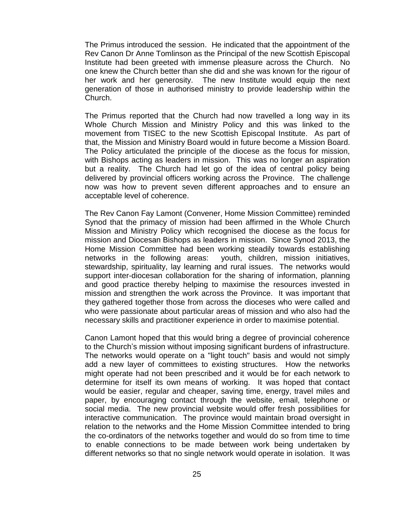The Primus introduced the session. He indicated that the appointment of the Rev Canon Dr Anne Tomlinson as the Principal of the new Scottish Episcopal Institute had been greeted with immense pleasure across the Church. No one knew the Church better than she did and she was known for the rigour of her work and her generosity. The new Institute would equip the next generation of those in authorised ministry to provide leadership within the Church.

The Primus reported that the Church had now travelled a long way in its Whole Church Mission and Ministry Policy and this was linked to the movement from TISEC to the new Scottish Episcopal Institute. As part of that, the Mission and Ministry Board would in future become a Mission Board. The Policy articulated the principle of the diocese as the focus for mission, with Bishops acting as leaders in mission. This was no longer an aspiration but a reality. The Church had let go of the idea of central policy being delivered by provincial officers working across the Province. The challenge now was how to prevent seven different approaches and to ensure an acceptable level of coherence.

The Rev Canon Fay Lamont (Convener, Home Mission Committee) reminded Synod that the primacy of mission had been affirmed in the Whole Church Mission and Ministry Policy which recognised the diocese as the focus for mission and Diocesan Bishops as leaders in mission. Since Synod 2013, the Home Mission Committee had been working steadily towards establishing networks in the following areas: youth, children, mission initiatives, stewardship, spirituality, lay learning and rural issues. The networks would support inter-diocesan collaboration for the sharing of information, planning and good practice thereby helping to maximise the resources invested in mission and strengthen the work across the Province. It was important that they gathered together those from across the dioceses who were called and who were passionate about particular areas of mission and who also had the necessary skills and practitioner experience in order to maximise potential.

Canon Lamont hoped that this would bring a degree of provincial coherence to the Church's mission without imposing significant burdens of infrastructure. The networks would operate on a "light touch" basis and would not simply add a new layer of committees to existing structures. How the networks might operate had not been prescribed and it would be for each network to determine for itself its own means of working. It was hoped that contact would be easier, regular and cheaper, saving time, energy, travel miles and paper, by encouraging contact through the website, email, telephone or social media. The new provincial website would offer fresh possibilities for interactive communication. The province would maintain broad oversight in relation to the networks and the Home Mission Committee intended to bring the co-ordinators of the networks together and would do so from time to time to enable connections to be made between work being undertaken by different networks so that no single network would operate in isolation. It was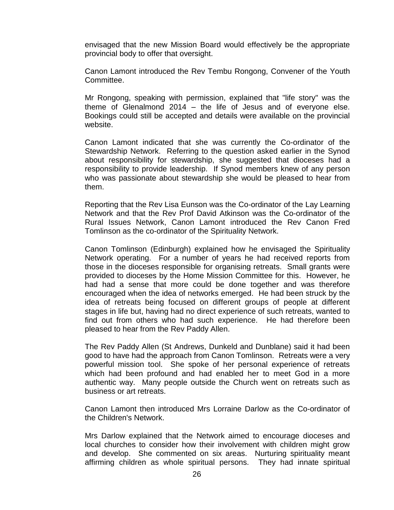envisaged that the new Mission Board would effectively be the appropriate provincial body to offer that oversight.

Canon Lamont introduced the Rev Tembu Rongong, Convener of the Youth Committee.

Mr Rongong, speaking with permission, explained that "life story" was the theme of Glenalmond 2014 – the life of Jesus and of everyone else. Bookings could still be accepted and details were available on the provincial website.

Canon Lamont indicated that she was currently the Co-ordinator of the Stewardship Network. Referring to the question asked earlier in the Synod about responsibility for stewardship, she suggested that dioceses had a responsibility to provide leadership. If Synod members knew of any person who was passionate about stewardship she would be pleased to hear from them.

Reporting that the Rev Lisa Eunson was the Co-ordinator of the Lay Learning Network and that the Rev Prof David Atkinson was the Co-ordinator of the Rural Issues Network, Canon Lamont introduced the Rev Canon Fred Tomlinson as the co-ordinator of the Spirituality Network.

Canon Tomlinson (Edinburgh) explained how he envisaged the Spirituality Network operating. For a number of years he had received reports from those in the dioceses responsible for organising retreats. Small grants were provided to dioceses by the Home Mission Committee for this. However, he had had a sense that more could be done together and was therefore encouraged when the idea of networks emerged. He had been struck by the idea of retreats being focused on different groups of people at different stages in life but, having had no direct experience of such retreats, wanted to find out from others who had such experience. He had therefore been pleased to hear from the Rev Paddy Allen.

The Rev Paddy Allen (St Andrews, Dunkeld and Dunblane) said it had been good to have had the approach from Canon Tomlinson. Retreats were a very powerful mission tool. She spoke of her personal experience of retreats which had been profound and had enabled her to meet God in a more authentic way. Many people outside the Church went on retreats such as business or art retreats.

Canon Lamont then introduced Mrs Lorraine Darlow as the Co-ordinator of the Children's Network.

Mrs Darlow explained that the Network aimed to encourage dioceses and local churches to consider how their involvement with children might grow and develop. She commented on six areas. Nurturing spirituality meant affirming children as whole spiritual persons. They had innate spiritual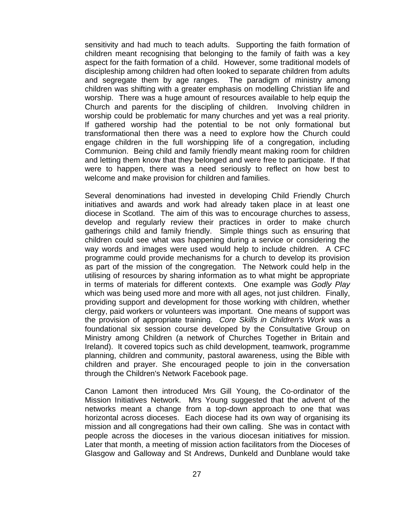sensitivity and had much to teach adults. Supporting the faith formation of children meant recognising that belonging to the family of faith was a key aspect for the faith formation of a child. However, some traditional models of discipleship among children had often looked to separate children from adults and segregate them by age ranges. The paradigm of ministry among children was shifting with a greater emphasis on modelling Christian life and worship. There was a huge amount of resources available to help equip the Church and parents for the discipling of children. Involving children in worship could be problematic for many churches and yet was a real priority. If gathered worship had the potential to be not only formational but transformational then there was a need to explore how the Church could engage children in the full worshipping life of a congregation, including Communion. Being child and family friendly meant making room for children and letting them know that they belonged and were free to participate. If that were to happen, there was a need seriously to reflect on how best to welcome and make provision for children and families.

Several denominations had invested in developing Child Friendly Church initiatives and awards and work had already taken place in at least one diocese in Scotland. The aim of this was to encourage churches to assess, develop and regularly review their practices in order to make church gatherings child and family friendly. Simple things such as ensuring that children could see what was happening during a service or considering the way words and images were used would help to include children. A CFC programme could provide mechanisms for a church to develop its provision as part of the mission of the congregation. The Network could help in the utilising of resources by sharing information as to what might be appropriate in terms of materials for different contexts. One example was *Godly Play* which was being used more and more with all ages, not just children. Finally, providing support and development for those working with children, whether clergy, paid workers or volunteers was important. One means of support was the provision of appropriate training. *Core Skills in Children's Work* was a foundational six session course developed by the Consultative Group on Ministry among Children (a network of Churches Together in Britain and Ireland). It covered topics such as child development, teamwork, programme planning, children and community, pastoral awareness, using the Bible with children and prayer. She encouraged people to join in the conversation through the Children's Network Facebook page.

Canon Lamont then introduced Mrs Gill Young, the Co-ordinator of the Mission Initiatives Network. Mrs Young suggested that the advent of the networks meant a change from a top-down approach to one that was horizontal across dioceses. Each diocese had its own way of organising its mission and all congregations had their own calling. She was in contact with people across the dioceses in the various diocesan initiatives for mission. Later that month, a meeting of mission action facilitators from the Dioceses of Glasgow and Galloway and St Andrews, Dunkeld and Dunblane would take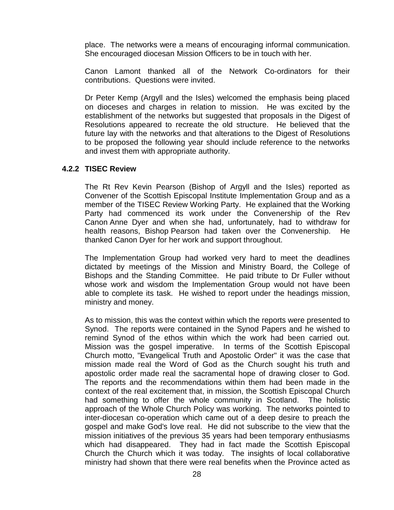place. The networks were a means of encouraging informal communication. She encouraged diocesan Mission Officers to be in touch with her.

Canon Lamont thanked all of the Network Co-ordinators for their contributions. Questions were invited.

Dr Peter Kemp (Argyll and the Isles) welcomed the emphasis being placed on dioceses and charges in relation to mission. He was excited by the establishment of the networks but suggested that proposals in the Digest of Resolutions appeared to recreate the old structure. He believed that the future lay with the networks and that alterations to the Digest of Resolutions to be proposed the following year should include reference to the networks and invest them with appropriate authority.

#### **4.2.2 TISEC Review**

The Rt Rev Kevin Pearson (Bishop of Argyll and the Isles) reported as Convener of the Scottish Episcopal Institute Implementation Group and as a member of the TISEC Review Working Party. He explained that the Working Party had commenced its work under the Convenership of the Rev Canon Anne Dyer and when she had, unfortunately, had to withdraw for health reasons, Bishop Pearson had taken over the Convenership. He thanked Canon Dyer for her work and support throughout.

The Implementation Group had worked very hard to meet the deadlines dictated by meetings of the Mission and Ministry Board, the College of Bishops and the Standing Committee. He paid tribute to Dr Fuller without whose work and wisdom the Implementation Group would not have been able to complete its task. He wished to report under the headings mission, ministry and money.

As to mission, this was the context within which the reports were presented to Synod. The reports were contained in the Synod Papers and he wished to remind Synod of the ethos within which the work had been carried out. Mission was the gospel imperative. In terms of the Scottish Episcopal Church motto, "Evangelical Truth and Apostolic Order" it was the case that mission made real the Word of God as the Church sought his truth and apostolic order made real the sacramental hope of drawing closer to God. The reports and the recommendations within them had been made in the context of the real excitement that, in mission, the Scottish Episcopal Church had something to offer the whole community in Scotland. The holistic approach of the Whole Church Policy was working. The networks pointed to inter-diocesan co-operation which came out of a deep desire to preach the gospel and make God's love real. He did not subscribe to the view that the mission initiatives of the previous 35 years had been temporary enthusiasms which had disappeared. They had in fact made the Scottish Episcopal Church the Church which it was today. The insights of local collaborative ministry had shown that there were real benefits when the Province acted as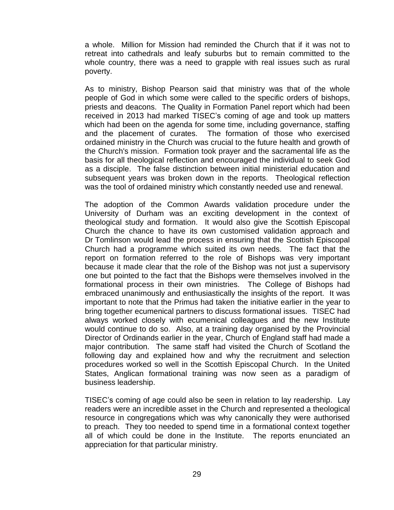a whole. Million for Mission had reminded the Church that if it was not to retreat into cathedrals and leafy suburbs but to remain committed to the whole country, there was a need to grapple with real issues such as rural poverty.

As to ministry, Bishop Pearson said that ministry was that of the whole people of God in which some were called to the specific orders of bishops, priests and deacons. The Quality in Formation Panel report which had been received in 2013 had marked TISEC's coming of age and took up matters which had been on the agenda for some time, including governance, staffing and the placement of curates. The formation of those who exercised ordained ministry in the Church was crucial to the future health and growth of the Church's mission. Formation took prayer and the sacramental life as the basis for all theological reflection and encouraged the individual to seek God as a disciple. The false distinction between initial ministerial education and subsequent years was broken down in the reports. Theological reflection was the tool of ordained ministry which constantly needed use and renewal.

The adoption of the Common Awards validation procedure under the University of Durham was an exciting development in the context of theological study and formation. It would also give the Scottish Episcopal Church the chance to have its own customised validation approach and Dr Tomlinson would lead the process in ensuring that the Scottish Episcopal Church had a programme which suited its own needs. The fact that the report on formation referred to the role of Bishops was very important because it made clear that the role of the Bishop was not just a supervisory one but pointed to the fact that the Bishops were themselves involved in the formational process in their own ministries. The College of Bishops had embraced unanimously and enthusiastically the insights of the report. It was important to note that the Primus had taken the initiative earlier in the year to bring together ecumenical partners to discuss formational issues. TISEC had always worked closely with ecumenical colleagues and the new Institute would continue to do so. Also, at a training day organised by the Provincial Director of Ordinands earlier in the year, Church of England staff had made a major contribution. The same staff had visited the Church of Scotland the following day and explained how and why the recruitment and selection procedures worked so well in the Scottish Episcopal Church. In the United States, Anglican formational training was now seen as a paradigm of business leadership.

TISEC's coming of age could also be seen in relation to lay readership. Lay readers were an incredible asset in the Church and represented a theological resource in congregations which was why canonically they were authorised to preach. They too needed to spend time in a formational context together all of which could be done in the Institute. The reports enunciated an appreciation for that particular ministry.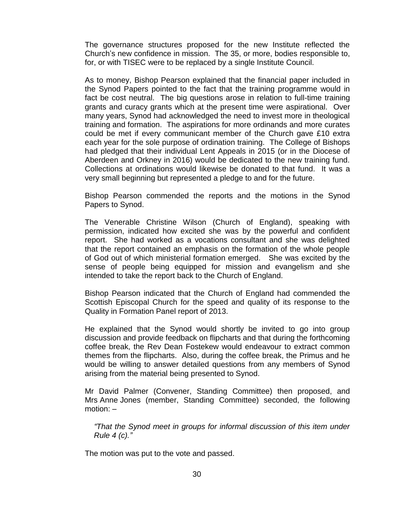The governance structures proposed for the new Institute reflected the Church's new confidence in mission. The 35, or more, bodies responsible to, for, or with TISEC were to be replaced by a single Institute Council.

As to money, Bishop Pearson explained that the financial paper included in the Synod Papers pointed to the fact that the training programme would in fact be cost neutral. The big questions arose in relation to full-time training grants and curacy grants which at the present time were aspirational. Over many years, Synod had acknowledged the need to invest more in theological training and formation. The aspirations for more ordinands and more curates could be met if every communicant member of the Church gave £10 extra each year for the sole purpose of ordination training. The College of Bishops had pledged that their individual Lent Appeals in 2015 (or in the Diocese of Aberdeen and Orkney in 2016) would be dedicated to the new training fund. Collections at ordinations would likewise be donated to that fund. It was a very small beginning but represented a pledge to and for the future.

Bishop Pearson commended the reports and the motions in the Synod Papers to Synod.

The Venerable Christine Wilson (Church of England), speaking with permission, indicated how excited she was by the powerful and confident report. She had worked as a vocations consultant and she was delighted that the report contained an emphasis on the formation of the whole people of God out of which ministerial formation emerged. She was excited by the sense of people being equipped for mission and evangelism and she intended to take the report back to the Church of England.

Bishop Pearson indicated that the Church of England had commended the Scottish Episcopal Church for the speed and quality of its response to the Quality in Formation Panel report of 2013.

He explained that the Synod would shortly be invited to go into group discussion and provide feedback on flipcharts and that during the forthcoming coffee break, the Rev Dean Fostekew would endeavour to extract common themes from the flipcharts. Also, during the coffee break, the Primus and he would be willing to answer detailed questions from any members of Synod arising from the material being presented to Synod.

Mr David Palmer (Convener, Standing Committee) then proposed, and Mrs Anne Jones (member, Standing Committee) seconded, the following motion: –

*"That the Synod meet in groups for informal discussion of this item under Rule 4 (c)."*

The motion was put to the vote and passed.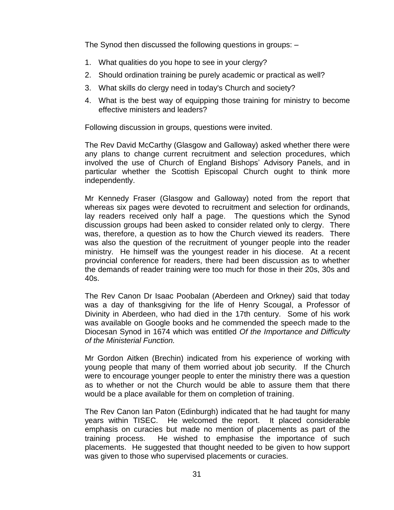The Synod then discussed the following questions in groups: –

- 1. What qualities do you hope to see in your clergy?
- 2. Should ordination training be purely academic or practical as well?
- 3. What skills do clergy need in today's Church and society?
- 4. What is the best way of equipping those training for ministry to become effective ministers and leaders?

Following discussion in groups, questions were invited.

The Rev David McCarthy (Glasgow and Galloway) asked whether there were any plans to change current recruitment and selection procedures, which involved the use of Church of England Bishops' Advisory Panels, and in particular whether the Scottish Episcopal Church ought to think more independently.

Mr Kennedy Fraser (Glasgow and Galloway) noted from the report that whereas six pages were devoted to recruitment and selection for ordinands, lay readers received only half a page. The questions which the Synod discussion groups had been asked to consider related only to clergy. There was, therefore, a question as to how the Church viewed its readers. There was also the question of the recruitment of younger people into the reader ministry. He himself was the youngest reader in his diocese. At a recent provincial conference for readers, there had been discussion as to whether the demands of reader training were too much for those in their 20s, 30s and 40s.

The Rev Canon Dr Isaac Poobalan (Aberdeen and Orkney) said that today was a day of thanksgiving for the life of Henry Scougal, a Professor of Divinity in Aberdeen, who had died in the 17th century. Some of his work was available on Google books and he commended the speech made to the Diocesan Synod in 1674 which was entitled *Of the Importance and Difficulty of the Ministerial Function.*

Mr Gordon Aitken (Brechin) indicated from his experience of working with young people that many of them worried about job security. If the Church were to encourage younger people to enter the ministry there was a question as to whether or not the Church would be able to assure them that there would be a place available for them on completion of training.

The Rev Canon Ian Paton (Edinburgh) indicated that he had taught for many years within TISEC. He welcomed the report. It placed considerable emphasis on curacies but made no mention of placements as part of the training process. He wished to emphasise the importance of such placements. He suggested that thought needed to be given to how support was given to those who supervised placements or curacies.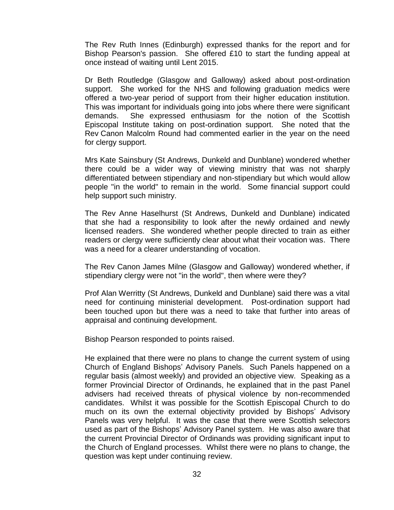The Rev Ruth Innes (Edinburgh) expressed thanks for the report and for Bishop Pearson's passion. She offered £10 to start the funding appeal at once instead of waiting until Lent 2015.

Dr Beth Routledge (Glasgow and Galloway) asked about post-ordination support. She worked for the NHS and following graduation medics were offered a two-year period of support from their higher education institution. This was important for individuals going into jobs where there were significant demands. She expressed enthusiasm for the notion of the Scottish Episcopal Institute taking on post-ordination support. She noted that the Rev Canon Malcolm Round had commented earlier in the year on the need for clergy support.

Mrs Kate Sainsbury (St Andrews, Dunkeld and Dunblane) wondered whether there could be a wider way of viewing ministry that was not sharply differentiated between stipendiary and non-stipendiary but which would allow people "in the world" to remain in the world. Some financial support could help support such ministry.

The Rev Anne Haselhurst (St Andrews, Dunkeld and Dunblane) indicated that she had a responsibility to look after the newly ordained and newly licensed readers. She wondered whether people directed to train as either readers or clergy were sufficiently clear about what their vocation was. There was a need for a clearer understanding of vocation.

The Rev Canon James Milne (Glasgow and Galloway) wondered whether, if stipendiary clergy were not "in the world", then where were they?

Prof Alan Werritty (St Andrews, Dunkeld and Dunblane) said there was a vital need for continuing ministerial development. Post-ordination support had been touched upon but there was a need to take that further into areas of appraisal and continuing development.

Bishop Pearson responded to points raised.

He explained that there were no plans to change the current system of using Church of England Bishops' Advisory Panels. Such Panels happened on a regular basis (almost weekly) and provided an objective view. Speaking as a former Provincial Director of Ordinands, he explained that in the past Panel advisers had received threats of physical violence by non-recommended candidates. Whilst it was possible for the Scottish Episcopal Church to do much on its own the external objectivity provided by Bishops' Advisory Panels was very helpful. It was the case that there were Scottish selectors used as part of the Bishops' Advisory Panel system. He was also aware that the current Provincial Director of Ordinands was providing significant input to the Church of England processes. Whilst there were no plans to change, the question was kept under continuing review.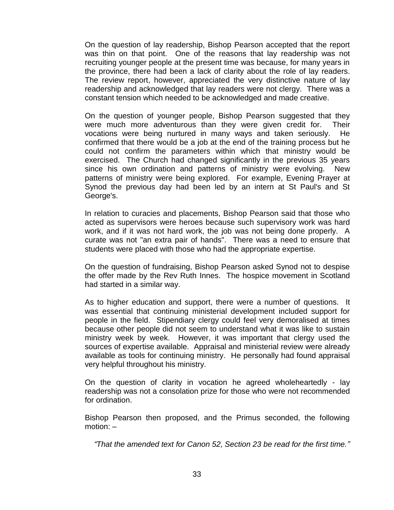On the question of lay readership, Bishop Pearson accepted that the report was thin on that point. One of the reasons that lay readership was not recruiting younger people at the present time was because, for many years in the province, there had been a lack of clarity about the role of lay readers. The review report, however, appreciated the very distinctive nature of lay readership and acknowledged that lay readers were not clergy. There was a constant tension which needed to be acknowledged and made creative.

On the question of younger people, Bishop Pearson suggested that they were much more adventurous than they were given credit for. Their vocations were being nurtured in many ways and taken seriously. He confirmed that there would be a job at the end of the training process but he could not confirm the parameters within which that ministry would be exercised. The Church had changed significantly in the previous 35 years since his own ordination and patterns of ministry were evolving. New patterns of ministry were being explored. For example, Evening Prayer at Synod the previous day had been led by an intern at St Paul's and St George's.

In relation to curacies and placements, Bishop Pearson said that those who acted as supervisors were heroes because such supervisory work was hard work, and if it was not hard work, the job was not being done properly. A curate was not "an extra pair of hands". There was a need to ensure that students were placed with those who had the appropriate expertise.

On the question of fundraising, Bishop Pearson asked Synod not to despise the offer made by the Rev Ruth Innes. The hospice movement in Scotland had started in a similar way.

As to higher education and support, there were a number of questions. It was essential that continuing ministerial development included support for people in the field. Stipendiary clergy could feel very demoralised at times because other people did not seem to understand what it was like to sustain ministry week by week. However, it was important that clergy used the sources of expertise available. Appraisal and ministerial review were already available as tools for continuing ministry. He personally had found appraisal very helpful throughout his ministry.

On the question of clarity in vocation he agreed wholeheartedly - lay readership was not a consolation prize for those who were not recommended for ordination.

Bishop Pearson then proposed, and the Primus seconded, the following motion: –

*"That the amended text for Canon 52, Section 23 be read for the first time."*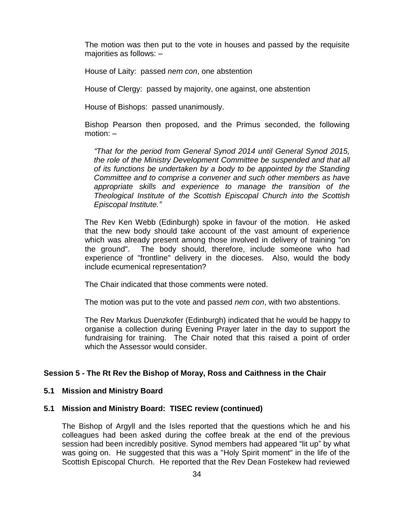The motion was then put to the vote in houses and passed by the requisite majorities as follows: –

House of Laity: passed *nem con*, one abstention

House of Clergy: passed by majority, one against, one abstention

House of Bishops: passed unanimously.

Bishop Pearson then proposed, and the Primus seconded, the following motion: –

*"That for the period from General Synod 2014 until General Synod 2015, the role of the Ministry Development Committee be suspended and that all of its functions be undertaken by a body to be appointed by the Standing Committee and to comprise a convener and such other members as have appropriate skills and experience to manage the transition of the Theological Institute of the Scottish Episcopal Church into the Scottish Episcopal Institute."*

The Rev Ken Webb (Edinburgh) spoke in favour of the motion. He asked that the new body should take account of the vast amount of experience which was already present among those involved in delivery of training "on the ground". The body should, therefore, include someone who had experience of "frontline" delivery in the dioceses. Also, would the body include ecumenical representation?

The Chair indicated that those comments were noted.

The motion was put to the vote and passed *nem con*, with two abstentions.

The Rev Markus Duenzkofer (Edinburgh) indicated that he would be happy to organise a collection during Evening Prayer later in the day to support the fundraising for training. The Chair noted that this raised a point of order which the Assessor would consider.

## **Session 5 - The Rt Rev the Bishop of Moray, Ross and Caithness in the Chair**

## **5.1 Mission and Ministry Board**

## **5.1 Mission and Ministry Board: TISEC review (continued)**

The Bishop of Argyll and the Isles reported that the questions which he and his colleagues had been asked during the coffee break at the end of the previous session had been incredibly positive. Synod members had appeared "lit up" by what was going on. He suggested that this was a "Holy Spirit moment" in the life of the Scottish Episcopal Church. He reported that the Rev Dean Fostekew had reviewed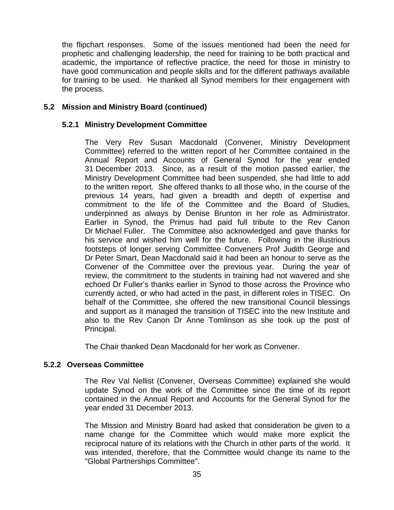the flipchart responses. Some of the issues mentioned had been the need for prophetic and challenging leadership, the need for training to be both practical and academic, the importance of reflective practice, the need for those in ministry to have good communication and people skills and for the different pathways available for training to be used. He thanked all Synod members for their engagement with the process.

## **5.2 Mission and Ministry Board (continued)**

## **5.2.1 Ministry Development Committee**

The Very Rev Susan Macdonald (Convener, Ministry Development Committee) referred to the written report of her Committee contained in the Annual Report and Accounts of General Synod for the year ended 31 December 2013. Since, as a result of the motion passed earlier, the Ministry Development Committee had been suspended, she had little to add to the written report. She offered thanks to all those who, in the course of the previous 14 years, had given a breadth and depth of expertise and commitment to the life of the Committee and the Board of Studies, underpinned as always by Denise Brunton in her role as Administrator. Earlier in Synod, the Primus had paid full tribute to the Rev Canon Dr Michael Fuller. The Committee also acknowledged and gave thanks for his service and wished him well for the future. Following in the illustrious footsteps of longer serving Committee Conveners Prof Judith George and Dr Peter Smart, Dean Macdonald said it had been an honour to serve as the Convener of the Committee over the previous year. During the year of review, the commitment to the students in training had not wavered and she echoed Dr Fuller's thanks earlier in Synod to those across the Province who currently acted, or who had acted in the past, in different roles in TISEC. On behalf of the Committee, she offered the new transitional Council blessings and support as it managed the transition of TISEC into the new Institute and also to the Rev Canon Dr Anne Tomlinson as she took up the post of Principal.

The Chair thanked Dean Macdonald for her work as Convener.

## **5.2.2 Overseas Committee**

The Rev Val Nellist (Convener, Overseas Committee) explained she would update Synod on the work of the Committee since the time of its report contained in the Annual Report and Accounts for the General Synod for the year ended 31 December 2013.

The Mission and Ministry Board had asked that consideration be given to a name change for the Committee which would make more explicit the reciprocal nature of its relations with the Church in other parts of the world. It was intended, therefore, that the Committee would change its name to the "Global Partnerships Committee".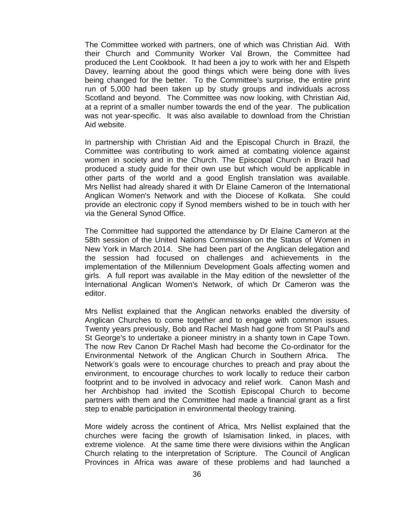The Committee worked with partners, one of which was Christian Aid. With their Church and Community Worker Val Brown, the Committee had produced the Lent Cookbook. It had been a joy to work with her and Elspeth Davey, learning about the good things which were being done with lives being changed for the better. To the Committee's surprise, the entire print run of 5,000 had been taken up by study groups and individuals across Scotland and beyond. The Committee was now looking, with Christian Aid, at a reprint of a smaller number towards the end of the year. The publication was not year-specific. It was also available to download from the Christian Aid website.

In partnership with Christian Aid and the Episcopal Church in Brazil, the Committee was contributing to work aimed at combating violence against women in society and in the Church. The Episcopal Church in Brazil had produced a study guide for their own use but which would be applicable in other parts of the world and a good English translation was available. Mrs Nellist had already shared it with Dr Elaine Cameron of the International Anglican Women's Network and with the Diocese of Kolkata. She could provide an electronic copy if Synod members wished to be in touch with her via the General Synod Office.

The Committee had supported the attendance by Dr Elaine Cameron at the 58th session of the United Nations Commission on the Status of Women in New York in March 2014. She had been part of the Anglican delegation and the session had focused on challenges and achievements in the implementation of the Millennium Development Goals affecting women and girls. A full report was available in the May edition of the newsletter of the International Anglican Women's Network, of which Dr Cameron was the editor.

Mrs Nellist explained that the Anglican networks enabled the diversity of Anglican Churches to come together and to engage with common issues. Twenty years previously, Bob and Rachel Mash had gone from St Paul's and St George's to undertake a pioneer ministry in a shanty town in Cape Town. The now Rev Canon Dr Rachel Mash had become the Co-ordinator for the Environmental Network of the Anglican Church in Southern Africa. The Network's goals were to encourage churches to preach and pray about the environment, to encourage churches to work locally to reduce their carbon footprint and to be involved in advocacy and relief work. Canon Mash and her Archbishop had invited the Scottish Episcopal Church to become partners with them and the Committee had made a financial grant as a first step to enable participation in environmental theology training.

More widely across the continent of Africa, Mrs Nellist explained that the churches were facing the growth of Islamisation linked, in places, with extreme violence. At the same time there were divisions within the Anglican Church relating to the interpretation of Scripture. The Council of Anglican Provinces in Africa was aware of these problems and had launched a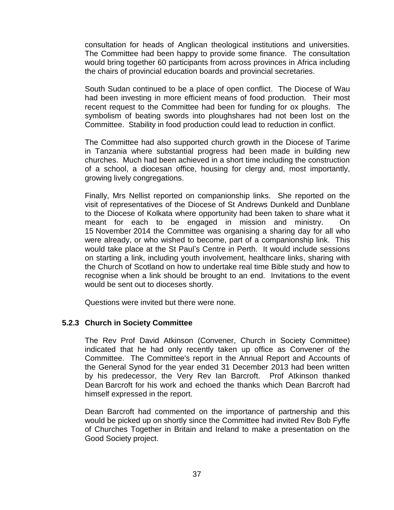consultation for heads of Anglican theological institutions and universities. The Committee had been happy to provide some finance. The consultation would bring together 60 participants from across provinces in Africa including the chairs of provincial education boards and provincial secretaries.

South Sudan continued to be a place of open conflict. The Diocese of Wau had been investing in more efficient means of food production. Their most recent request to the Committee had been for funding for ox ploughs. The symbolism of beating swords into ploughshares had not been lost on the Committee. Stability in food production could lead to reduction in conflict.

The Committee had also supported church growth in the Diocese of Tarime in Tanzania where substantial progress had been made in building new churches. Much had been achieved in a short time including the construction of a school, a diocesan office, housing for clergy and, most importantly, growing lively congregations.

Finally, Mrs Nellist reported on companionship links. She reported on the visit of representatives of the Diocese of St Andrews Dunkeld and Dunblane to the Diocese of Kolkata where opportunity had been taken to share what it meant for each to be engaged in mission and ministry. On 15 November 2014 the Committee was organising a sharing day for all who were already, or who wished to become, part of a companionship link. This would take place at the St Paul's Centre in Perth. It would include sessions on starting a link, including youth involvement, healthcare links, sharing with the Church of Scotland on how to undertake real time Bible study and how to recognise when a link should be brought to an end. Invitations to the event would be sent out to dioceses shortly.

Questions were invited but there were none.

## **5.2.3 Church in Society Committee**

The Rev Prof David Atkinson (Convener, Church in Society Committee) indicated that he had only recently taken up office as Convener of the Committee. The Committee's report in the Annual Report and Accounts of the General Synod for the year ended 31 December 2013 had been written by his predecessor, the Very Rev Ian Barcroft. Prof Atkinson thanked Dean Barcroft for his work and echoed the thanks which Dean Barcroft had himself expressed in the report.

Dean Barcroft had commented on the importance of partnership and this would be picked up on shortly since the Committee had invited Rev Bob Fyffe of Churches Together in Britain and Ireland to make a presentation on the Good Society project.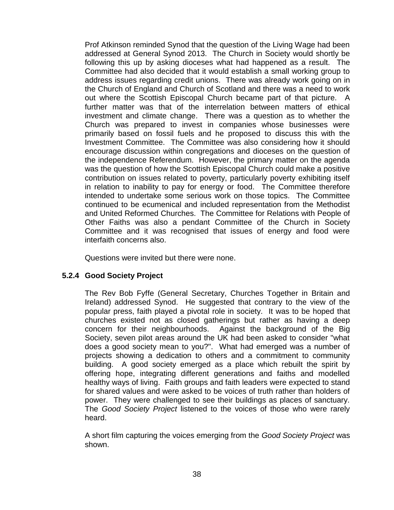Prof Atkinson reminded Synod that the question of the Living Wage had been addressed at General Synod 2013. The Church in Society would shortly be following this up by asking dioceses what had happened as a result. The Committee had also decided that it would establish a small working group to address issues regarding credit unions. There was already work going on in the Church of England and Church of Scotland and there was a need to work out where the Scottish Episcopal Church became part of that picture. A further matter was that of the interrelation between matters of ethical investment and climate change. There was a question as to whether the Church was prepared to invest in companies whose businesses were primarily based on fossil fuels and he proposed to discuss this with the Investment Committee. The Committee was also considering how it should encourage discussion within congregations and dioceses on the question of the independence Referendum. However, the primary matter on the agenda was the question of how the Scottish Episcopal Church could make a positive contribution on issues related to poverty, particularly poverty exhibiting itself in relation to inability to pay for energy or food. The Committee therefore intended to undertake some serious work on those topics. The Committee continued to be ecumenical and included representation from the Methodist and United Reformed Churches. The Committee for Relations with People of Other Faiths was also a pendant Committee of the Church in Society Committee and it was recognised that issues of energy and food were interfaith concerns also.

Questions were invited but there were none.

## **5.2.4 Good Society Project**

The Rev Bob Fyffe (General Secretary, Churches Together in Britain and Ireland) addressed Synod. He suggested that contrary to the view of the popular press, faith played a pivotal role in society. It was to be hoped that churches existed not as closed gatherings but rather as having a deep concern for their neighbourhoods. Against the background of the Big Society, seven pilot areas around the UK had been asked to consider "what does a good society mean to you?". What had emerged was a number of projects showing a dedication to others and a commitment to community building. A good society emerged as a place which rebuilt the spirit by offering hope, integrating different generations and faiths and modelled healthy ways of living. Faith groups and faith leaders were expected to stand for shared values and were asked to be voices of truth rather than holders of power. They were challenged to see their buildings as places of sanctuary. The *Good Society Project* listened to the voices of those who were rarely heard.

A short film capturing the voices emerging from the *Good Society Project* was shown.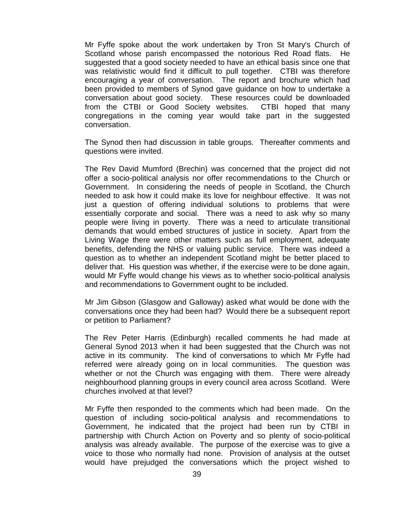Mr Fyffe spoke about the work undertaken by Tron St Mary's Church of Scotland whose parish encompassed the notorious Red Road flats. He suggested that a good society needed to have an ethical basis since one that was relativistic would find it difficult to pull together. CTBI was therefore encouraging a year of conversation. The report and brochure which had been provided to members of Synod gave guidance on how to undertake a conversation about good society. These resources could be downloaded from the CTBI or Good Society websites. CTBI hoped that many congregations in the coming year would take part in the suggested conversation.

The Synod then had discussion in table groups. Thereafter comments and questions were invited.

The Rev David Mumford (Brechin) was concerned that the project did not offer a socio-political analysis nor offer recommendations to the Church or Government. In considering the needs of people in Scotland, the Church needed to ask how it could make its love for neighbour effective. It was not just a question of offering individual solutions to problems that were essentially corporate and social. There was a need to ask why so many people were living in poverty. There was a need to articulate transitional demands that would embed structures of justice in society. Apart from the Living Wage there were other matters such as full employment, adequate benefits, defending the NHS or valuing public service. There was indeed a question as to whether an independent Scotland might be better placed to deliver that. His question was whether, if the exercise were to be done again, would Mr Fyffe would change his views as to whether socio-political analysis and recommendations to Government ought to be included.

Mr Jim Gibson (Glasgow and Galloway) asked what would be done with the conversations once they had been had? Would there be a subsequent report or petition to Parliament?

The Rev Peter Harris (Edinburgh) recalled comments he had made at General Synod 2013 when it had been suggested that the Church was not active in its community. The kind of conversations to which Mr Fyffe had referred were already going on in local communities. The question was whether or not the Church was engaging with them. There were already neighbourhood planning groups in every council area across Scotland. Were churches involved at that level?

Mr Fyffe then responded to the comments which had been made. On the question of including socio-political analysis and recommendations to Government, he indicated that the project had been run by CTBI in partnership with Church Action on Poverty and so plenty of socio-political analysis was already available. The purpose of the exercise was to give a voice to those who normally had none. Provision of analysis at the outset would have prejudged the conversations which the project wished to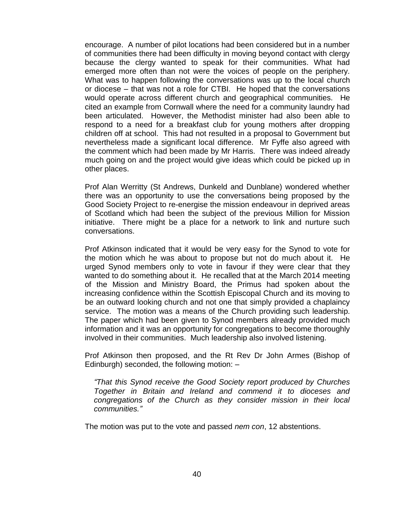encourage. A number of pilot locations had been considered but in a number of communities there had been difficulty in moving beyond contact with clergy because the clergy wanted to speak for their communities. What had emerged more often than not were the voices of people on the periphery. What was to happen following the conversations was up to the local church or diocese – that was not a role for CTBI. He hoped that the conversations would operate across different church and geographical communities. He cited an example from Cornwall where the need for a community laundry had been articulated. However, the Methodist minister had also been able to respond to a need for a breakfast club for young mothers after dropping children off at school. This had not resulted in a proposal to Government but nevertheless made a significant local difference. Mr Fyffe also agreed with the comment which had been made by Mr Harris. There was indeed already much going on and the project would give ideas which could be picked up in other places.

Prof Alan Werritty (St Andrews, Dunkeld and Dunblane) wondered whether there was an opportunity to use the conversations being proposed by the Good Society Project to re-energise the mission endeavour in deprived areas of Scotland which had been the subject of the previous Million for Mission initiative. There might be a place for a network to link and nurture such conversations.

Prof Atkinson indicated that it would be very easy for the Synod to vote for the motion which he was about to propose but not do much about it. He urged Synod members only to vote in favour if they were clear that they wanted to do something about it. He recalled that at the March 2014 meeting of the Mission and Ministry Board, the Primus had spoken about the increasing confidence within the Scottish Episcopal Church and its moving to be an outward looking church and not one that simply provided a chaplaincy service. The motion was a means of the Church providing such leadership. The paper which had been given to Synod members already provided much information and it was an opportunity for congregations to become thoroughly involved in their communities. Much leadership also involved listening.

Prof Atkinson then proposed, and the Rt Rev Dr John Armes (Bishop of Edinburgh) seconded, the following motion: –

*"That this Synod receive the Good Society report produced by Churches Together in Britain and Ireland and commend it to dioceses and congregations of the Church as they consider mission in their local communities."*

The motion was put to the vote and passed *nem con*, 12 abstentions.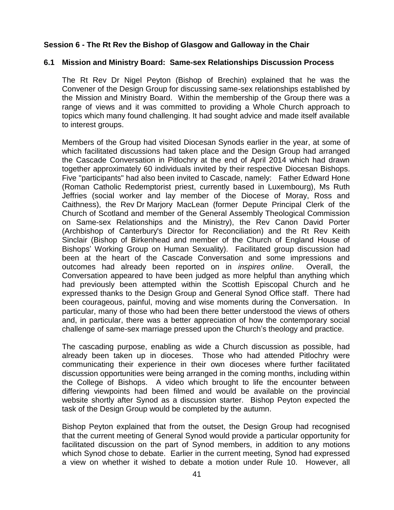## **Session 6 - The Rt Rev the Bishop of Glasgow and Galloway in the Chair**

#### **6.1 Mission and Ministry Board: Same-sex Relationships Discussion Process**

The Rt Rev Dr Nigel Peyton (Bishop of Brechin) explained that he was the Convener of the Design Group for discussing same-sex relationships established by the Mission and Ministry Board. Within the membership of the Group there was a range of views and it was committed to providing a Whole Church approach to topics which many found challenging. It had sought advice and made itself available to interest groups.

Members of the Group had visited Diocesan Synods earlier in the year, at some of which facilitated discussions had taken place and the Design Group had arranged the Cascade Conversation in Pitlochry at the end of April 2014 which had drawn together approximately 60 individuals invited by their respective Diocesan Bishops. Five "participants" had also been invited to Cascade, namely: Father Edward Hone (Roman Catholic Redemptorist priest, currently based in Luxembourg), Ms Ruth Jeffries (social worker and lay member of the Diocese of Moray, Ross and Caithness), the Rev Dr Marjory MacLean (former Depute Principal Clerk of the Church of Scotland and member of the General Assembly Theological Commission on Same-sex Relationships and the Ministry), the Rev Canon David Porter (Archbishop of Canterbury's Director for Reconciliation) and the Rt Rev Keith Sinclair (Bishop of Birkenhead and member of the Church of England House of Bishops' Working Group on Human Sexuality). Facilitated group discussion had been at the heart of the Cascade Conversation and some impressions and outcomes had already been reported on in *inspires online*. Overall, the Conversation appeared to have been judged as more helpful than anything which had previously been attempted within the Scottish Episcopal Church and he expressed thanks to the Design Group and General Synod Office staff. There had been courageous, painful, moving and wise moments during the Conversation. In particular, many of those who had been there better understood the views of others and, in particular, there was a better appreciation of how the contemporary social challenge of same-sex marriage pressed upon the Church's theology and practice.

The cascading purpose, enabling as wide a Church discussion as possible, had already been taken up in dioceses. Those who had attended Pitlochry were communicating their experience in their own dioceses where further facilitated discussion opportunities were being arranged in the coming months, including within the College of Bishops. A video which brought to life the encounter between differing viewpoints had been filmed and would be available on the provincial website shortly after Synod as a discussion starter. Bishop Peyton expected the task of the Design Group would be completed by the autumn.

Bishop Peyton explained that from the outset, the Design Group had recognised that the current meeting of General Synod would provide a particular opportunity for facilitated discussion on the part of Synod members, in addition to any motions which Synod chose to debate. Earlier in the current meeting, Synod had expressed a view on whether it wished to debate a motion under Rule 10. However, all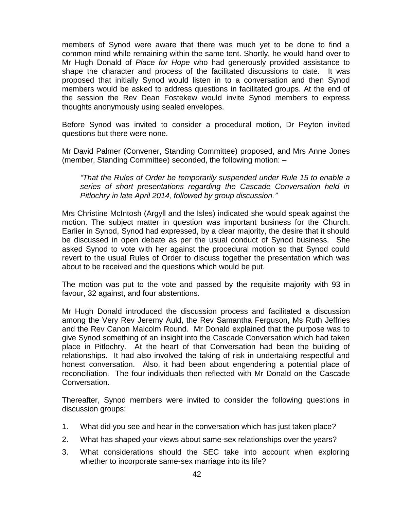members of Synod were aware that there was much yet to be done to find a common mind while remaining within the same tent. Shortly, he would hand over to Mr Hugh Donald of *Place for Hope* who had generously provided assistance to shape the character and process of the facilitated discussions to date. It was proposed that initially Synod would listen in to a conversation and then Synod members would be asked to address questions in facilitated groups. At the end of the session the Rev Dean Fostekew would invite Synod members to express thoughts anonymously using sealed envelopes.

Before Synod was invited to consider a procedural motion, Dr Peyton invited questions but there were none.

Mr David Palmer (Convener, Standing Committee) proposed, and Mrs Anne Jones (member, Standing Committee) seconded, the following motion: –

*"That the Rules of Order be temporarily suspended under Rule 15 to enable a series of short presentations regarding the Cascade Conversation held in Pitlochry in late April 2014, followed by group discussion."*

Mrs Christine McIntosh (Argyll and the Isles) indicated she would speak against the motion. The subject matter in question was important business for the Church. Earlier in Synod, Synod had expressed, by a clear majority, the desire that it should be discussed in open debate as per the usual conduct of Synod business. She asked Synod to vote with her against the procedural motion so that Synod could revert to the usual Rules of Order to discuss together the presentation which was about to be received and the questions which would be put.

The motion was put to the vote and passed by the requisite majority with 93 in favour, 32 against, and four abstentions.

Mr Hugh Donald introduced the discussion process and facilitated a discussion among the Very Rev Jeremy Auld, the Rev Samantha Ferguson, Ms Ruth Jeffries and the Rev Canon Malcolm Round. Mr Donald explained that the purpose was to give Synod something of an insight into the Cascade Conversation which had taken place in Pitlochry. At the heart of that Conversation had been the building of relationships. It had also involved the taking of risk in undertaking respectful and honest conversation. Also, it had been about engendering a potential place of reconciliation. The four individuals then reflected with Mr Donald on the Cascade Conversation.

Thereafter, Synod members were invited to consider the following questions in discussion groups:

- 1. What did you see and hear in the conversation which has just taken place?
- 2. What has shaped your views about same-sex relationships over the years?
- 3. What considerations should the SEC take into account when exploring whether to incorporate same-sex marriage into its life?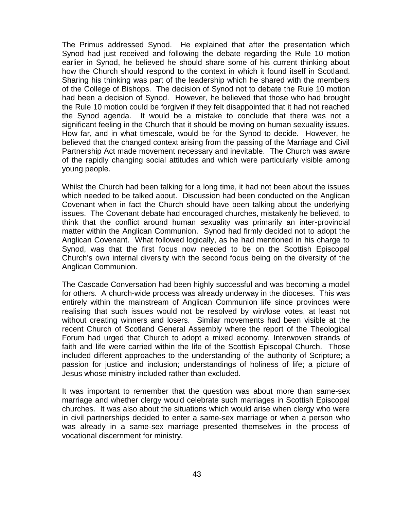The Primus addressed Synod. He explained that after the presentation which Synod had just received and following the debate regarding the Rule 10 motion earlier in Synod, he believed he should share some of his current thinking about how the Church should respond to the context in which it found itself in Scotland. Sharing his thinking was part of the leadership which he shared with the members of the College of Bishops. The decision of Synod not to debate the Rule 10 motion had been a decision of Synod. However, he believed that those who had brought the Rule 10 motion could be forgiven if they felt disappointed that it had not reached the Synod agenda. It would be a mistake to conclude that there was not a significant feeling in the Church that it should be moving on human sexuality issues. How far, and in what timescale, would be for the Synod to decide. However, he believed that the changed context arising from the passing of the Marriage and Civil Partnership Act made movement necessary and inevitable. The Church was aware of the rapidly changing social attitudes and which were particularly visible among young people.

Whilst the Church had been talking for a long time, it had not been about the issues which needed to be talked about. Discussion had been conducted on the Anglican Covenant when in fact the Church should have been talking about the underlying issues. The Covenant debate had encouraged churches, mistakenly he believed, to think that the conflict around human sexuality was primarily an inter-provincial matter within the Anglican Communion. Synod had firmly decided not to adopt the Anglican Covenant. What followed logically, as he had mentioned in his charge to Synod, was that the first focus now needed to be on the Scottish Episcopal Church's own internal diversity with the second focus being on the diversity of the Anglican Communion.

The Cascade Conversation had been highly successful and was becoming a model for others. A church-wide process was already underway in the dioceses. This was entirely within the mainstream of Anglican Communion life since provinces were realising that such issues would not be resolved by win/lose votes, at least not without creating winners and losers. Similar movements had been visible at the recent Church of Scotland General Assembly where the report of the Theological Forum had urged that Church to adopt a mixed economy. Interwoven strands of faith and life were carried within the life of the Scottish Episcopal Church. Those included different approaches to the understanding of the authority of Scripture; a passion for justice and inclusion; understandings of holiness of life; a picture of Jesus whose ministry included rather than excluded.

It was important to remember that the question was about more than same-sex marriage and whether clergy would celebrate such marriages in Scottish Episcopal churches. It was also about the situations which would arise when clergy who were in civil partnerships decided to enter a same-sex marriage or when a person who was already in a same-sex marriage presented themselves in the process of vocational discernment for ministry.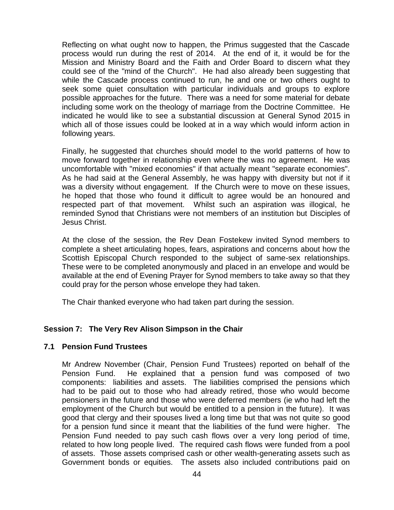Reflecting on what ought now to happen, the Primus suggested that the Cascade process would run during the rest of 2014. At the end of it, it would be for the Mission and Ministry Board and the Faith and Order Board to discern what they could see of the "mind of the Church". He had also already been suggesting that while the Cascade process continued to run, he and one or two others ought to seek some quiet consultation with particular individuals and groups to explore possible approaches for the future. There was a need for some material for debate including some work on the theology of marriage from the Doctrine Committee. He indicated he would like to see a substantial discussion at General Synod 2015 in which all of those issues could be looked at in a way which would inform action in following years.

Finally, he suggested that churches should model to the world patterns of how to move forward together in relationship even where the was no agreement. He was uncomfortable with "mixed economies" if that actually meant "separate economies". As he had said at the General Assembly, he was happy with diversity but not if it was a diversity without engagement. If the Church were to move on these issues, he hoped that those who found it difficult to agree would be an honoured and respected part of that movement. Whilst such an aspiration was illogical, he reminded Synod that Christians were not members of an institution but Disciples of Jesus Christ.

At the close of the session, the Rev Dean Fostekew invited Synod members to complete a sheet articulating hopes, fears, aspirations and concerns about how the Scottish Episcopal Church responded to the subject of same-sex relationships. These were to be completed anonymously and placed in an envelope and would be available at the end of Evening Prayer for Synod members to take away so that they could pray for the person whose envelope they had taken.

The Chair thanked everyone who had taken part during the session.

## **Session 7: The Very Rev Alison Simpson in the Chair**

## **7.1 Pension Fund Trustees**

Mr Andrew November (Chair, Pension Fund Trustees) reported on behalf of the Pension Fund. He explained that a pension fund was composed of two components: liabilities and assets. The liabilities comprised the pensions which had to be paid out to those who had already retired, those who would become pensioners in the future and those who were deferred members (ie who had left the employment of the Church but would be entitled to a pension in the future). It was good that clergy and their spouses lived a long time but that was not quite so good for a pension fund since it meant that the liabilities of the fund were higher. The Pension Fund needed to pay such cash flows over a very long period of time, related to how long people lived. The required cash flows were funded from a pool of assets. Those assets comprised cash or other wealth-generating assets such as Government bonds or equities. The assets also included contributions paid on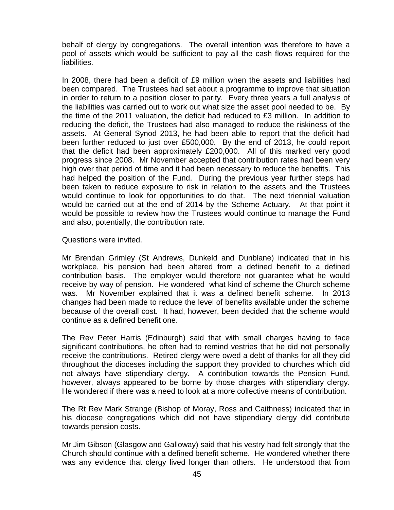behalf of clergy by congregations. The overall intention was therefore to have a pool of assets which would be sufficient to pay all the cash flows required for the liabilities.

In 2008, there had been a deficit of £9 million when the assets and liabilities had been compared. The Trustees had set about a programme to improve that situation in order to return to a position closer to parity. Every three years a full analysis of the liabilities was carried out to work out what size the asset pool needed to be. By the time of the 2011 valuation, the deficit had reduced to £3 million. In addition to reducing the deficit, the Trustees had also managed to reduce the riskiness of the assets. At General Synod 2013, he had been able to report that the deficit had been further reduced to just over £500,000. By the end of 2013, he could report that the deficit had been approximately £200,000. All of this marked very good progress since 2008. Mr November accepted that contribution rates had been very high over that period of time and it had been necessary to reduce the benefits. This had helped the position of the Fund. During the previous year further steps had been taken to reduce exposure to risk in relation to the assets and the Trustees would continue to look for opportunities to do that. The next triennial valuation would be carried out at the end of 2014 by the Scheme Actuary. At that point it would be possible to review how the Trustees would continue to manage the Fund and also, potentially, the contribution rate.

Questions were invited.

Mr Brendan Grimley (St Andrews, Dunkeld and Dunblane) indicated that in his workplace, his pension had been altered from a defined benefit to a defined contribution basis. The employer would therefore not guarantee what he would receive by way of pension. He wondered what kind of scheme the Church scheme was. Mr November explained that it was a defined benefit scheme. In 2013 changes had been made to reduce the level of benefits available under the scheme because of the overall cost. It had, however, been decided that the scheme would continue as a defined benefit one.

The Rev Peter Harris (Edinburgh) said that with small charges having to face significant contributions, he often had to remind vestries that he did not personally receive the contributions. Retired clergy were owed a debt of thanks for all they did throughout the dioceses including the support they provided to churches which did not always have stipendiary clergy. A contribution towards the Pension Fund, however, always appeared to be borne by those charges with stipendiary clergy. He wondered if there was a need to look at a more collective means of contribution.

The Rt Rev Mark Strange (Bishop of Moray, Ross and Caithness) indicated that in his diocese congregations which did not have stipendiary clergy did contribute towards pension costs.

Mr Jim Gibson (Glasgow and Galloway) said that his vestry had felt strongly that the Church should continue with a defined benefit scheme. He wondered whether there was any evidence that clergy lived longer than others. He understood that from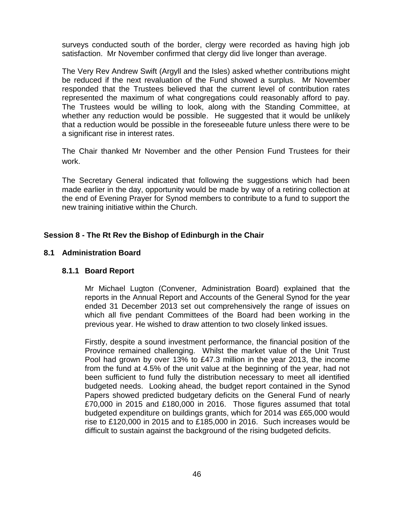surveys conducted south of the border, clergy were recorded as having high job satisfaction. Mr November confirmed that clergy did live longer than average.

The Very Rev Andrew Swift (Argyll and the Isles) asked whether contributions might be reduced if the next revaluation of the Fund showed a surplus. Mr November responded that the Trustees believed that the current level of contribution rates represented the maximum of what congregations could reasonably afford to pay. The Trustees would be willing to look, along with the Standing Committee, at whether any reduction would be possible. He suggested that it would be unlikely that a reduction would be possible in the foreseeable future unless there were to be a significant rise in interest rates.

The Chair thanked Mr November and the other Pension Fund Trustees for their work.

The Secretary General indicated that following the suggestions which had been made earlier in the day, opportunity would be made by way of a retiring collection at the end of Evening Prayer for Synod members to contribute to a fund to support the new training initiative within the Church.

## **Session 8 - The Rt Rev the Bishop of Edinburgh in the Chair**

#### **8.1 Administration Board**

## **8.1.1 Board Report**

Mr Michael Lugton (Convener, Administration Board) explained that the reports in the Annual Report and Accounts of the General Synod for the year ended 31 December 2013 set out comprehensively the range of issues on which all five pendant Committees of the Board had been working in the previous year. He wished to draw attention to two closely linked issues.

Firstly, despite a sound investment performance, the financial position of the Province remained challenging. Whilst the market value of the Unit Trust Pool had grown by over 13% to £47.3 million in the year 2013, the income from the fund at 4.5% of the unit value at the beginning of the year, had not been sufficient to fund fully the distribution necessary to meet all identified budgeted needs. Looking ahead, the budget report contained in the Synod Papers showed predicted budgetary deficits on the General Fund of nearly £70,000 in 2015 and £180,000 in 2016. Those figures assumed that total budgeted expenditure on buildings grants, which for 2014 was £65,000 would rise to £120,000 in 2015 and to £185,000 in 2016. Such increases would be difficult to sustain against the background of the rising budgeted deficits.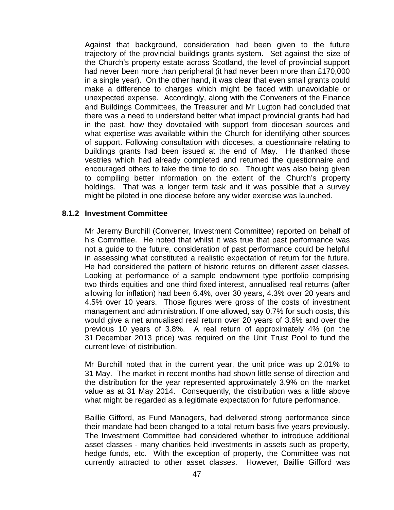Against that background, consideration had been given to the future trajectory of the provincial buildings grants system. Set against the size of the Church's property estate across Scotland, the level of provincial support had never been more than peripheral (it had never been more than £170,000 in a single year). On the other hand, it was clear that even small grants could make a difference to charges which might be faced with unavoidable or unexpected expense. Accordingly, along with the Conveners of the Finance and Buildings Committees, the Treasurer and Mr Lugton had concluded that there was a need to understand better what impact provincial grants had had in the past, how they dovetailed with support from diocesan sources and what expertise was available within the Church for identifying other sources of support. Following consultation with dioceses, a questionnaire relating to buildings grants had been issued at the end of May. He thanked those vestries which had already completed and returned the questionnaire and encouraged others to take the time to do so. Thought was also being given to compiling better information on the extent of the Church's property holdings. That was a longer term task and it was possible that a survey might be piloted in one diocese before any wider exercise was launched.

#### **8.1.2 Investment Committee**

Mr Jeremy Burchill (Convener, Investment Committee) reported on behalf of his Committee. He noted that whilst it was true that past performance was not a guide to the future, consideration of past performance could be helpful in assessing what constituted a realistic expectation of return for the future. He had considered the pattern of historic returns on different asset classes. Looking at performance of a sample endowment type portfolio comprising two thirds equities and one third fixed interest, annualised real returns (after allowing for inflation) had been 6.4%, over 30 years, 4.3% over 20 years and 4.5% over 10 years. Those figures were gross of the costs of investment management and administration. If one allowed, say 0.7% for such costs, this would give a net annualised real return over 20 years of 3.6% and over the previous 10 years of 3.8%. A real return of approximately 4% (on the 31 December 2013 price) was required on the Unit Trust Pool to fund the current level of distribution.

Mr Burchill noted that in the current year, the unit price was up 2.01% to 31 May. The market in recent months had shown little sense of direction and the distribution for the year represented approximately 3.9% on the market value as at 31 May 2014. Consequently, the distribution was a little above what might be regarded as a legitimate expectation for future performance.

Baillie Gifford, as Fund Managers, had delivered strong performance since their mandate had been changed to a total return basis five years previously. The Investment Committee had considered whether to introduce additional asset classes - many charities held investments in assets such as property, hedge funds, etc. With the exception of property, the Committee was not currently attracted to other asset classes. However, Baillie Gifford was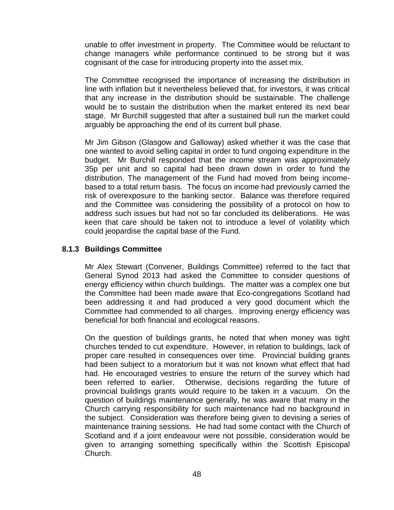unable to offer investment in property. The Committee would be reluctant to change managers while performance continued to be strong but it was cognisant of the case for introducing property into the asset mix.

The Committee recognised the importance of increasing the distribution in line with inflation but it nevertheless believed that, for investors, it was critical that any increase in the distribution should be sustainable. The challenge would be to sustain the distribution when the market entered its next bear stage. Mr Burchill suggested that after a sustained bull run the market could arguably be approaching the end of its current bull phase.

Mr Jim Gibson (Glasgow and Galloway) asked whether it was the case that one wanted to avoid selling capital in order to fund ongoing expenditure in the budget. Mr Burchill responded that the income stream was approximately 35p per unit and so capital had been drawn down in order to fund the distribution. The management of the Fund had moved from being incomebased to a total return basis. The focus on income had previously carried the risk of overexposure to the banking sector. Balance was therefore required and the Committee was considering the possibility of a protocol on how to address such issues but had not so far concluded its deliberations. He was keen that care should be taken not to introduce a level of volatility which could jeopardise the capital base of the Fund.

#### **8.1.3 Buildings Committee**

Mr Alex Stewart (Convener, Buildings Committee) referred to the fact that General Synod 2013 had asked the Committee to consider questions of energy efficiency within church buildings. The matter was a complex one but the Committee had been made aware that Eco-congregations Scotland had been addressing it and had produced a very good document which the Committee had commended to all charges. Improving energy efficiency was beneficial for both financial and ecological reasons.

On the question of buildings grants, he noted that when money was tight churches tended to cut expenditure. However, in relation to buildings, lack of proper care resulted in consequences over time. Provincial building grants had been subject to a moratorium but it was not known what effect that had had. He encouraged vestries to ensure the return of the survey which had been referred to earlier. Otherwise, decisions regarding the future of provincial buildings grants would require to be taken in a vacuum. On the question of buildings maintenance generally, he was aware that many in the Church carrying responsibility for such maintenance had no background in the subject. Consideration was therefore being given to devising a series of maintenance training sessions. He had had some contact with the Church of Scotland and if a joint endeavour were not possible, consideration would be given to arranging something specifically within the Scottish Episcopal Church.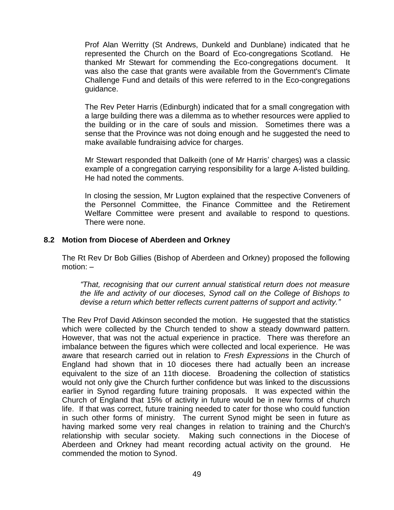Prof Alan Werritty (St Andrews, Dunkeld and Dunblane) indicated that he represented the Church on the Board of Eco-congregations Scotland. He thanked Mr Stewart for commending the Eco-congregations document. It was also the case that grants were available from the Government's Climate Challenge Fund and details of this were referred to in the Eco-congregations guidance.

The Rev Peter Harris (Edinburgh) indicated that for a small congregation with a large building there was a dilemma as to whether resources were applied to the building or in the care of souls and mission. Sometimes there was a sense that the Province was not doing enough and he suggested the need to make available fundraising advice for charges.

Mr Stewart responded that Dalkeith (one of Mr Harris' charges) was a classic example of a congregation carrying responsibility for a large A-listed building. He had noted the comments.

In closing the session, Mr Lugton explained that the respective Conveners of the Personnel Committee, the Finance Committee and the Retirement Welfare Committee were present and available to respond to questions. There were none.

#### **8.2 Motion from Diocese of Aberdeen and Orkney**

The Rt Rev Dr Bob Gillies (Bishop of Aberdeen and Orkney) proposed the following motion: –

*"That, recognising that our current annual statistical return does not measure the life and activity of our dioceses, Synod call on the College of Bishops to devise a return which better reflects current patterns of support and activity."*

The Rev Prof David Atkinson seconded the motion. He suggested that the statistics which were collected by the Church tended to show a steady downward pattern. However, that was not the actual experience in practice. There was therefore an imbalance between the figures which were collected and local experience. He was aware that research carried out in relation to *Fresh Expressions* in the Church of England had shown that in 10 dioceses there had actually been an increase equivalent to the size of an 11th diocese. Broadening the collection of statistics would not only give the Church further confidence but was linked to the discussions earlier in Synod regarding future training proposals. It was expected within the Church of England that 15% of activity in future would be in new forms of church life. If that was correct, future training needed to cater for those who could function in such other forms of ministry. The current Synod might be seen in future as having marked some very real changes in relation to training and the Church's relationship with secular society. Making such connections in the Diocese of Aberdeen and Orkney had meant recording actual activity on the ground. He commended the motion to Synod.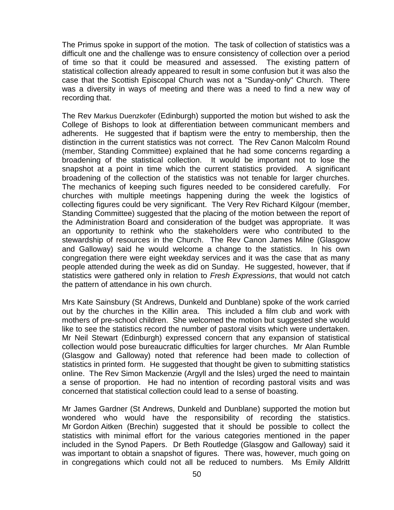The Primus spoke in support of the motion. The task of collection of statistics was a difficult one and the challenge was to ensure consistency of collection over a period of time so that it could be measured and assessed. The existing pattern of statistical collection already appeared to result in some confusion but it was also the case that the Scottish Episcopal Church was not a "Sunday-only" Church. There was a diversity in ways of meeting and there was a need to find a new way of recording that.

The Rev Markus Duenzkofer (Edinburgh) supported the motion but wished to ask the College of Bishops to look at differentiation between communicant members and adherents. He suggested that if baptism were the entry to membership, then the distinction in the current statistics was not correct. The Rev Canon Malcolm Round (member, Standing Committee) explained that he had some concerns regarding a broadening of the statistical collection. It would be important not to lose the snapshot at a point in time which the current statistics provided. A significant broadening of the collection of the statistics was not tenable for larger churches. The mechanics of keeping such figures needed to be considered carefully. For churches with multiple meetings happening during the week the logistics of collecting figures could be very significant. The Very Rev Richard Kilgour (member, Standing Committee) suggested that the placing of the motion between the report of the Administration Board and consideration of the budget was appropriate. It was an opportunity to rethink who the stakeholders were who contributed to the stewardship of resources in the Church. The Rev Canon James Milne (Glasgow and Galloway) said he would welcome a change to the statistics. In his own congregation there were eight weekday services and it was the case that as many people attended during the week as did on Sunday. He suggested, however, that if statistics were gathered only in relation to *Fresh Expressions*, that would not catch the pattern of attendance in his own church.

Mrs Kate Sainsbury (St Andrews, Dunkeld and Dunblane) spoke of the work carried out by the churches in the Killin area. This included a film club and work with mothers of pre-school children. She welcomed the motion but suggested she would like to see the statistics record the number of pastoral visits which were undertaken. Mr Neil Stewart (Edinburgh) expressed concern that any expansion of statistical collection would pose bureaucratic difficulties for larger churches. Mr Alan Rumble (Glasgow and Galloway) noted that reference had been made to collection of statistics in printed form. He suggested that thought be given to submitting statistics online. The Rev Simon Mackenzie (Argyll and the Isles) urged the need to maintain a sense of proportion. He had no intention of recording pastoral visits and was concerned that statistical collection could lead to a sense of boasting.

Mr James Gardner (St Andrews, Dunkeld and Dunblane) supported the motion but wondered who would have the responsibility of recording the statistics. Mr Gordon Aitken (Brechin) suggested that it should be possible to collect the statistics with minimal effort for the various categories mentioned in the paper included in the Synod Papers. Dr Beth Routledge (Glasgow and Galloway) said it was important to obtain a snapshot of figures. There was, however, much going on in congregations which could not all be reduced to numbers. Ms Emily Alldritt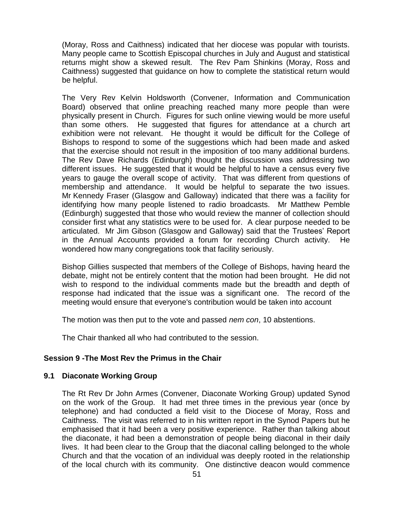(Moray, Ross and Caithness) indicated that her diocese was popular with tourists. Many people came to Scottish Episcopal churches in July and August and statistical returns might show a skewed result. The Rev Pam Shinkins (Moray, Ross and Caithness) suggested that guidance on how to complete the statistical return would be helpful.

The Very Rev Kelvin Holdsworth (Convener, Information and Communication Board) observed that online preaching reached many more people than were physically present in Church. Figures for such online viewing would be more useful than some others. He suggested that figures for attendance at a church art exhibition were not relevant. He thought it would be difficult for the College of Bishops to respond to some of the suggestions which had been made and asked that the exercise should not result in the imposition of too many additional burdens. The Rev Dave Richards (Edinburgh) thought the discussion was addressing two different issues. He suggested that it would be helpful to have a census every five years to gauge the overall scope of activity. That was different from questions of membership and attendance. It would be helpful to separate the two issues. Mr Kennedy Fraser (Glasgow and Galloway) indicated that there was a facility for identifying how many people listened to radio broadcasts. Mr Matthew Pemble (Edinburgh) suggested that those who would review the manner of collection should consider first what any statistics were to be used for. A clear purpose needed to be articulated. Mr Jim Gibson (Glasgow and Galloway) said that the Trustees' Report in the Annual Accounts provided a forum for recording Church activity. He wondered how many congregations took that facility seriously.

Bishop Gillies suspected that members of the College of Bishops, having heard the debate, might not be entirely content that the motion had been brought. He did not wish to respond to the individual comments made but the breadth and depth of response had indicated that the issue was a significant one. The record of the meeting would ensure that everyone's contribution would be taken into account

The motion was then put to the vote and passed *nem con*, 10 abstentions.

The Chair thanked all who had contributed to the session.

## **Session 9 -The Most Rev the Primus in the Chair**

## **9.1 Diaconate Working Group**

The Rt Rev Dr John Armes (Convener, Diaconate Working Group) updated Synod on the work of the Group. It had met three times in the previous year (once by telephone) and had conducted a field visit to the Diocese of Moray, Ross and Caithness. The visit was referred to in his written report in the Synod Papers but he emphasised that it had been a very positive experience. Rather than talking about the diaconate, it had been a demonstration of people being diaconal in their daily lives. It had been clear to the Group that the diaconal calling belonged to the whole Church and that the vocation of an individual was deeply rooted in the relationship of the local church with its community. One distinctive deacon would commence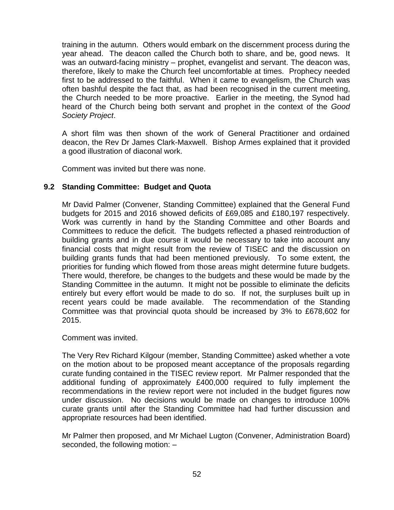training in the autumn. Others would embark on the discernment process during the year ahead. The deacon called the Church both to share, and be, good news. It was an outward-facing ministry – prophet, evangelist and servant. The deacon was, therefore, likely to make the Church feel uncomfortable at times. Prophecy needed first to be addressed to the faithful. When it came to evangelism, the Church was often bashful despite the fact that, as had been recognised in the current meeting, the Church needed to be more proactive. Earlier in the meeting, the Synod had heard of the Church being both servant and prophet in the context of the *Good Society Project*.

A short film was then shown of the work of General Practitioner and ordained deacon, the Rev Dr James Clark-Maxwell. Bishop Armes explained that it provided a good illustration of diaconal work.

Comment was invited but there was none.

## **9.2 Standing Committee: Budget and Quota**

Mr David Palmer (Convener, Standing Committee) explained that the General Fund budgets for 2015 and 2016 showed deficits of £69,085 and £180,197 respectively. Work was currently in hand by the Standing Committee and other Boards and Committees to reduce the deficit. The budgets reflected a phased reintroduction of building grants and in due course it would be necessary to take into account any financial costs that might result from the review of TISEC and the discussion on building grants funds that had been mentioned previously. To some extent, the priorities for funding which flowed from those areas might determine future budgets. There would, therefore, be changes to the budgets and these would be made by the Standing Committee in the autumn. It might not be possible to eliminate the deficits entirely but every effort would be made to do so. If not, the surpluses built up in recent years could be made available. The recommendation of the Standing Committee was that provincial quota should be increased by 3% to £678,602 for 2015.

Comment was invited.

The Very Rev Richard Kilgour (member, Standing Committee) asked whether a vote on the motion about to be proposed meant acceptance of the proposals regarding curate funding contained in the TISEC review report. Mr Palmer responded that the additional funding of approximately £400,000 required to fully implement the recommendations in the review report were not included in the budget figures now under discussion. No decisions would be made on changes to introduce 100% curate grants until after the Standing Committee had had further discussion and appropriate resources had been identified.

Mr Palmer then proposed, and Mr Michael Lugton (Convener, Administration Board) seconded, the following motion: –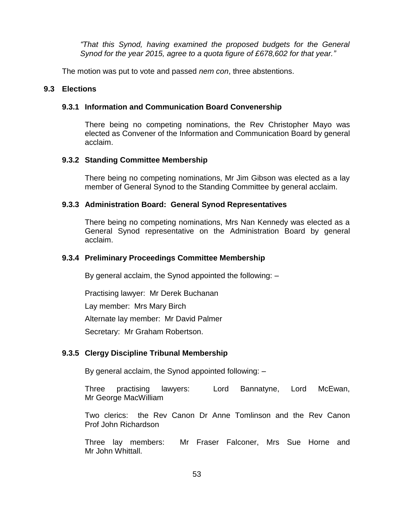*"That this Synod, having examined the proposed budgets for the General Synod for the year 2015, agree to a quota figure of £678,602 for that year."*

The motion was put to vote and passed *nem con*, three abstentions.

## **9.3 Elections**

#### **9.3.1 Information and Communication Board Convenership**

There being no competing nominations, the Rev Christopher Mayo was elected as Convener of the Information and Communication Board by general acclaim.

#### **9.3.2 Standing Committee Membership**

There being no competing nominations, Mr Jim Gibson was elected as a lay member of General Synod to the Standing Committee by general acclaim.

#### **9.3.3 Administration Board: General Synod Representatives**

There being no competing nominations, Mrs Nan Kennedy was elected as a General Synod representative on the Administration Board by general acclaim.

#### **9.3.4 Preliminary Proceedings Committee Membership**

By general acclaim, the Synod appointed the following: –

Practising lawyer: Mr Derek Buchanan

Lay member: Mrs Mary Birch

Alternate lay member: Mr David Palmer

Secretary: Mr Graham Robertson.

## **9.3.5 Clergy Discipline Tribunal Membership**

By general acclaim, the Synod appointed following: –

Three practising lawyers: Lord Bannatyne, Lord McEwan, Mr George MacWilliam

Two clerics: the Rev Canon Dr Anne Tomlinson and the Rev Canon Prof John Richardson

Three lay members: Mr Fraser Falconer, Mrs Sue Horne and Mr John Whittall.